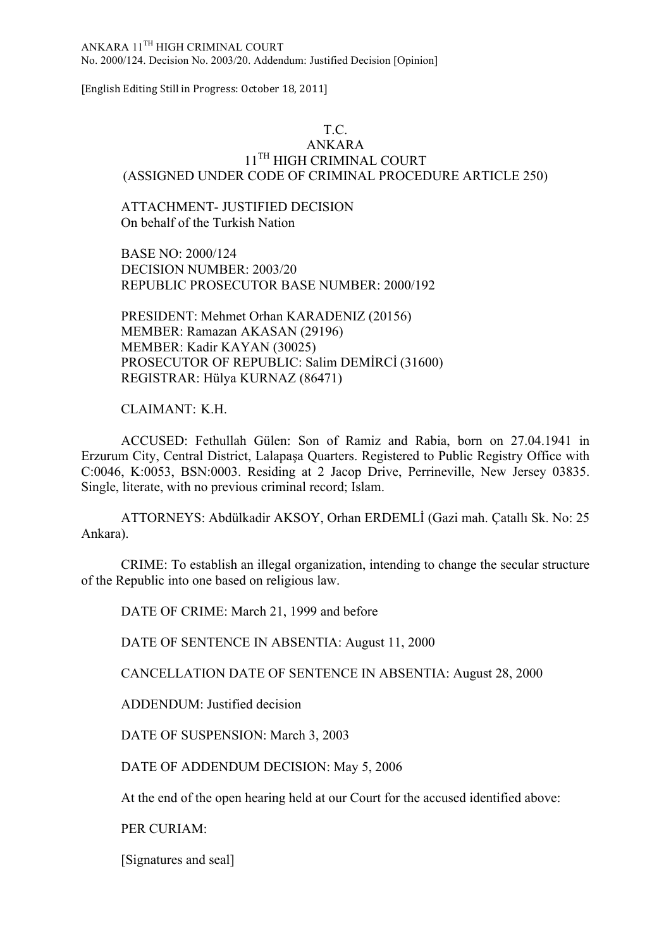ANKARA 11TH HIGH CRIMINAL COURT No. 2000/124. Decision No. 2003/20. Addendum: Justified Decision [Opinion]

[English Editing Still in Progress: October 18, 2011]

#### T.C.

# ANKARA  $11^{\text{TH}}$  HIGH CRIMINAL COURT (ASSIGNED UNDER CODE OF CRIMINAL PROCEDURE ARTICLE 250)

# ATTACHMENT- JUSTIFIED DECISION On behalf of the Turkish Nation

BASE NO: 2000/124 DECISION NUMBER: 2003/20 REPUBLIC PROSECUTOR BASE NUMBER: 2000/192

PRESIDENT: Mehmet Orhan KARADENIZ (20156) MEMBER: Ramazan AKASAN (29196) MEMBER: Kadir KAYAN (30025) PROSECUTOR OF REPUBLIC: Salim DEMİRCİ (31600) REGISTRAR: Hülya KURNAZ (86471)

# CLAIMANT: K.H.

ACCUSED: Fethullah Gülen: Son of Ramiz and Rabia, born on 27.04.1941 in Erzurum City, Central District, Lalapaşa Quarters. Registered to Public Registry Office with C:0046, K:0053, BSN:0003. Residing at 2 Jacop Drive, Perrineville, New Jersey 03835. Single, literate, with no previous criminal record; Islam.

ATTORNEYS: Abdülkadir AKSOY, Orhan ERDEMLİ (Gazi mah. Çatallı Sk. No: 25 Ankara).

CRIME: To establish an illegal organization, intending to change the secular structure of the Republic into one based on religious law.

DATE OF CRIME: March 21, 1999 and before

DATE OF SENTENCE IN ABSENTIA: August 11, 2000

CANCELLATION DATE OF SENTENCE IN ABSENTIA: August 28, 2000

ADDENDUM: Justified decision

DATE OF SUSPENSION: March 3, 2003

DATE OF ADDENDUM DECISION: May 5, 2006

At the end of the open hearing held at our Court for the accused identified above:

PER CURIAM:

[Signatures and seal]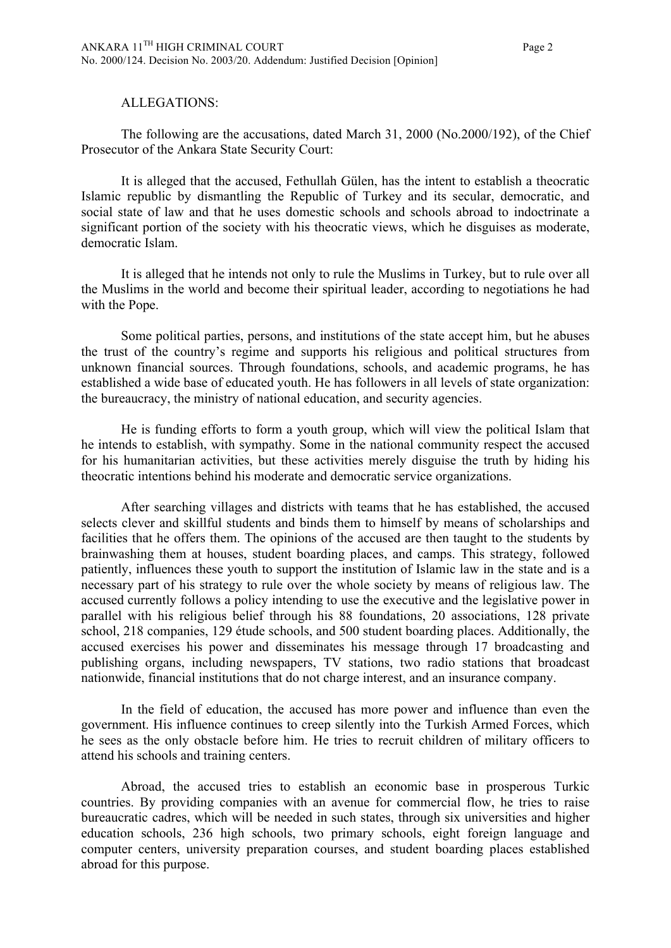#### ALLEGATIONS:

The following are the accusations, dated March 31, 2000 (No.2000/192), of the Chief Prosecutor of the Ankara State Security Court:

It is alleged that the accused, Fethullah Gülen, has the intent to establish a theocratic Islamic republic by dismantling the Republic of Turkey and its secular, democratic, and social state of law and that he uses domestic schools and schools abroad to indoctrinate a significant portion of the society with his theocratic views, which he disguises as moderate, democratic Islam.

It is alleged that he intends not only to rule the Muslims in Turkey, but to rule over all the Muslims in the world and become their spiritual leader, according to negotiations he had with the Pope.

Some political parties, persons, and institutions of the state accept him, but he abuses the trust of the country's regime and supports his religious and political structures from unknown financial sources. Through foundations, schools, and academic programs, he has established a wide base of educated youth. He has followers in all levels of state organization: the bureaucracy, the ministry of national education, and security agencies.

He is funding efforts to form a youth group, which will view the political Islam that he intends to establish, with sympathy. Some in the national community respect the accused for his humanitarian activities, but these activities merely disguise the truth by hiding his theocratic intentions behind his moderate and democratic service organizations.

After searching villages and districts with teams that he has established, the accused selects clever and skillful students and binds them to himself by means of scholarships and facilities that he offers them. The opinions of the accused are then taught to the students by brainwashing them at houses, student boarding places, and camps. This strategy, followed patiently, influences these youth to support the institution of Islamic law in the state and is a necessary part of his strategy to rule over the whole society by means of religious law. The accused currently follows a policy intending to use the executive and the legislative power in parallel with his religious belief through his 88 foundations, 20 associations, 128 private school, 218 companies, 129 étude schools, and 500 student boarding places. Additionally, the accused exercises his power and disseminates his message through 17 broadcasting and publishing organs, including newspapers, TV stations, two radio stations that broadcast nationwide, financial institutions that do not charge interest, and an insurance company.

In the field of education, the accused has more power and influence than even the government. His influence continues to creep silently into the Turkish Armed Forces, which he sees as the only obstacle before him. He tries to recruit children of military officers to attend his schools and training centers.

Abroad, the accused tries to establish an economic base in prosperous Turkic countries. By providing companies with an avenue for commercial flow, he tries to raise bureaucratic cadres, which will be needed in such states, through six universities and higher education schools, 236 high schools, two primary schools, eight foreign language and computer centers, university preparation courses, and student boarding places established abroad for this purpose.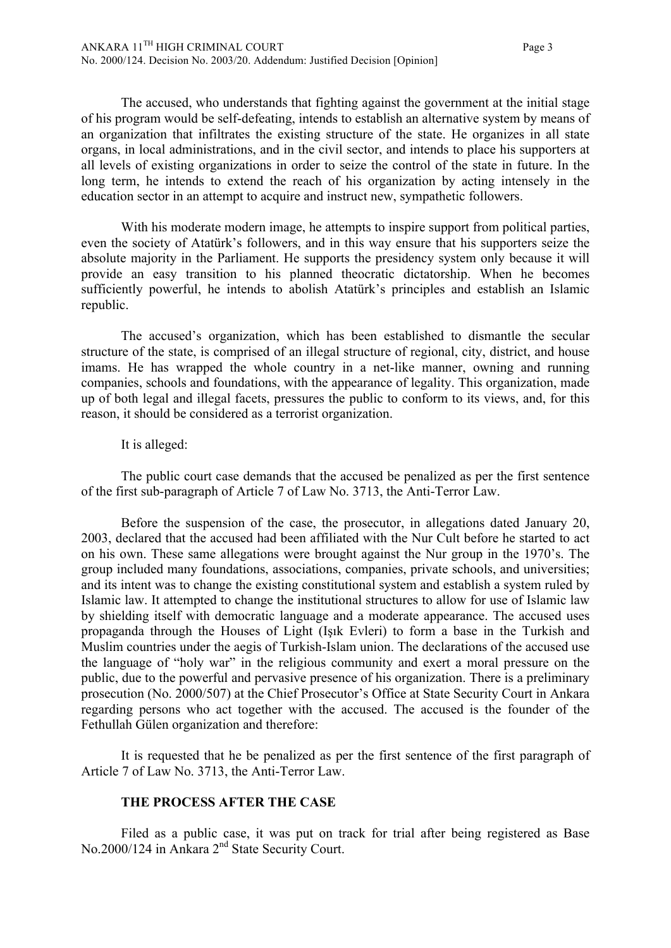The accused, who understands that fighting against the government at the initial stage of his program would be self-defeating, intends to establish an alternative system by means of an organization that infiltrates the existing structure of the state. He organizes in all state organs, in local administrations, and in the civil sector, and intends to place his supporters at all levels of existing organizations in order to seize the control of the state in future. In the long term, he intends to extend the reach of his organization by acting intensely in the education sector in an attempt to acquire and instruct new, sympathetic followers.

With his moderate modern image, he attempts to inspire support from political parties, even the society of Atatürk's followers, and in this way ensure that his supporters seize the absolute majority in the Parliament. He supports the presidency system only because it will provide an easy transition to his planned theocratic dictatorship. When he becomes sufficiently powerful, he intends to abolish Atatürk's principles and establish an Islamic republic.

The accused's organization, which has been established to dismantle the secular structure of the state, is comprised of an illegal structure of regional, city, district, and house imams. He has wrapped the whole country in a net-like manner, owning and running companies, schools and foundations, with the appearance of legality. This organization, made up of both legal and illegal facets, pressures the public to conform to its views, and, for this reason, it should be considered as a terrorist organization.

#### It is alleged:

The public court case demands that the accused be penalized as per the first sentence of the first sub-paragraph of Article 7 of Law No. 3713, the Anti-Terror Law.

Before the suspension of the case, the prosecutor, in allegations dated January 20, 2003, declared that the accused had been affiliated with the Nur Cult before he started to act on his own. These same allegations were brought against the Nur group in the 1970's. The group included many foundations, associations, companies, private schools, and universities; and its intent was to change the existing constitutional system and establish a system ruled by Islamic law. It attempted to change the institutional structures to allow for use of Islamic law by shielding itself with democratic language and a moderate appearance. The accused uses propaganda through the Houses of Light (Işık Evleri) to form a base in the Turkish and Muslim countries under the aegis of Turkish-Islam union. The declarations of the accused use the language of "holy war" in the religious community and exert a moral pressure on the public, due to the powerful and pervasive presence of his organization. There is a preliminary prosecution (No. 2000/507) at the Chief Prosecutor's Office at State Security Court in Ankara regarding persons who act together with the accused. The accused is the founder of the Fethullah Gülen organization and therefore:

It is requested that he be penalized as per the first sentence of the first paragraph of Article 7 of Law No. 3713, the Anti-Terror Law.

## **THE PROCESS AFTER THE CASE**

Filed as a public case, it was put on track for trial after being registered as Base No.2000/124 in Ankara 2nd State Security Court.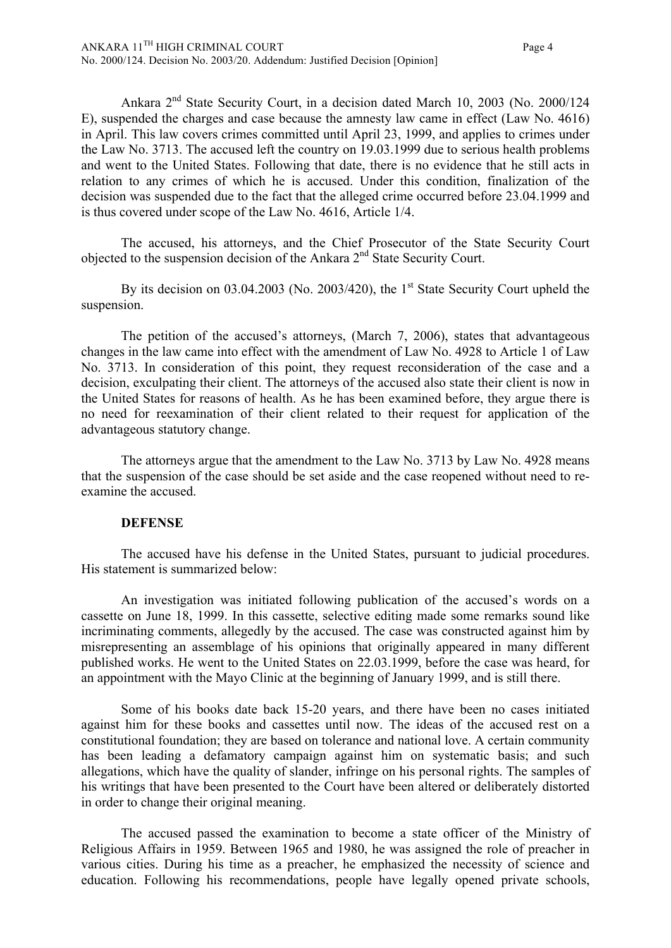Ankara 2nd State Security Court, in a decision dated March 10, 2003 (No. 2000/124 E), suspended the charges and case because the amnesty law came in effect (Law No. 4616) in April. This law covers crimes committed until April 23, 1999, and applies to crimes under the Law No. 3713. The accused left the country on 19.03.1999 due to serious health problems and went to the United States. Following that date, there is no evidence that he still acts in relation to any crimes of which he is accused. Under this condition, finalization of the decision was suspended due to the fact that the alleged crime occurred before 23.04.1999 and is thus covered under scope of the Law No. 4616, Article 1/4.

The accused, his attorneys, and the Chief Prosecutor of the State Security Court objected to the suspension decision of the Ankara 2<sup>nd</sup> State Security Court.

By its decision on  $03.04.2003$  (No. 2003/420), the 1<sup>st</sup> State Security Court upheld the suspension.

The petition of the accused's attorneys, (March 7, 2006), states that advantageous changes in the law came into effect with the amendment of Law No. 4928 to Article 1 of Law No. 3713. In consideration of this point, they request reconsideration of the case and a decision, exculpating their client. The attorneys of the accused also state their client is now in the United States for reasons of health. As he has been examined before, they argue there is no need for reexamination of their client related to their request for application of the advantageous statutory change.

The attorneys argue that the amendment to the Law No. 3713 by Law No. 4928 means that the suspension of the case should be set aside and the case reopened without need to reexamine the accused.

#### **DEFENSE**

The accused have his defense in the United States, pursuant to judicial procedures. His statement is summarized below:

An investigation was initiated following publication of the accused's words on a cassette on June 18, 1999. In this cassette, selective editing made some remarks sound like incriminating comments, allegedly by the accused. The case was constructed against him by misrepresenting an assemblage of his opinions that originally appeared in many different published works. He went to the United States on 22.03.1999, before the case was heard, for an appointment with the Mayo Clinic at the beginning of January 1999, and is still there.

Some of his books date back 15-20 years, and there have been no cases initiated against him for these books and cassettes until now. The ideas of the accused rest on a constitutional foundation; they are based on tolerance and national love. A certain community has been leading a defamatory campaign against him on systematic basis; and such allegations, which have the quality of slander, infringe on his personal rights. The samples of his writings that have been presented to the Court have been altered or deliberately distorted in order to change their original meaning.

The accused passed the examination to become a state officer of the Ministry of Religious Affairs in 1959. Between 1965 and 1980, he was assigned the role of preacher in various cities. During his time as a preacher, he emphasized the necessity of science and education. Following his recommendations, people have legally opened private schools,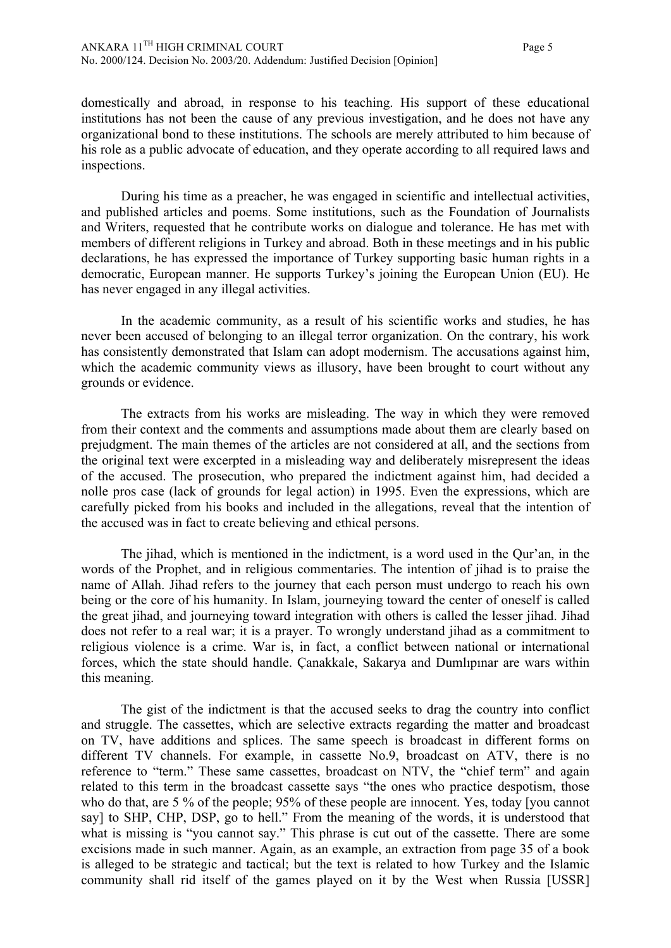domestically and abroad, in response to his teaching. His support of these educational institutions has not been the cause of any previous investigation, and he does not have any organizational bond to these institutions. The schools are merely attributed to him because of his role as a public advocate of education, and they operate according to all required laws and inspections.

During his time as a preacher, he was engaged in scientific and intellectual activities, and published articles and poems. Some institutions, such as the Foundation of Journalists and Writers, requested that he contribute works on dialogue and tolerance. He has met with members of different religions in Turkey and abroad. Both in these meetings and in his public declarations, he has expressed the importance of Turkey supporting basic human rights in a democratic, European manner. He supports Turkey's joining the European Union (EU). He has never engaged in any illegal activities.

In the academic community, as a result of his scientific works and studies, he has never been accused of belonging to an illegal terror organization. On the contrary, his work has consistently demonstrated that Islam can adopt modernism. The accusations against him, which the academic community views as illusory, have been brought to court without any grounds or evidence.

The extracts from his works are misleading. The way in which they were removed from their context and the comments and assumptions made about them are clearly based on prejudgment. The main themes of the articles are not considered at all, and the sections from the original text were excerpted in a misleading way and deliberately misrepresent the ideas of the accused. The prosecution, who prepared the indictment against him, had decided a nolle pros case (lack of grounds for legal action) in 1995. Even the expressions, which are carefully picked from his books and included in the allegations, reveal that the intention of the accused was in fact to create believing and ethical persons.

The jihad, which is mentioned in the indictment, is a word used in the Qur'an, in the words of the Prophet, and in religious commentaries. The intention of jihad is to praise the name of Allah. Jihad refers to the journey that each person must undergo to reach his own being or the core of his humanity. In Islam, journeying toward the center of oneself is called the great jihad, and journeying toward integration with others is called the lesser jihad. Jihad does not refer to a real war; it is a prayer. To wrongly understand jihad as a commitment to religious violence is a crime. War is, in fact, a conflict between national or international forces, which the state should handle. Çanakkale, Sakarya and Dumlıpınar are wars within this meaning.

The gist of the indictment is that the accused seeks to drag the country into conflict and struggle. The cassettes, which are selective extracts regarding the matter and broadcast on TV, have additions and splices. The same speech is broadcast in different forms on different TV channels. For example, in cassette No.9, broadcast on ATV, there is no reference to "term." These same cassettes, broadcast on NTV, the "chief term" and again related to this term in the broadcast cassette says "the ones who practice despotism, those who do that, are 5 % of the people; 95% of these people are innocent. Yes, today [you cannot say] to SHP, CHP, DSP, go to hell." From the meaning of the words, it is understood that what is missing is "you cannot say." This phrase is cut out of the cassette. There are some excisions made in such manner. Again, as an example, an extraction from page 35 of a book is alleged to be strategic and tactical; but the text is related to how Turkey and the Islamic community shall rid itself of the games played on it by the West when Russia [USSR]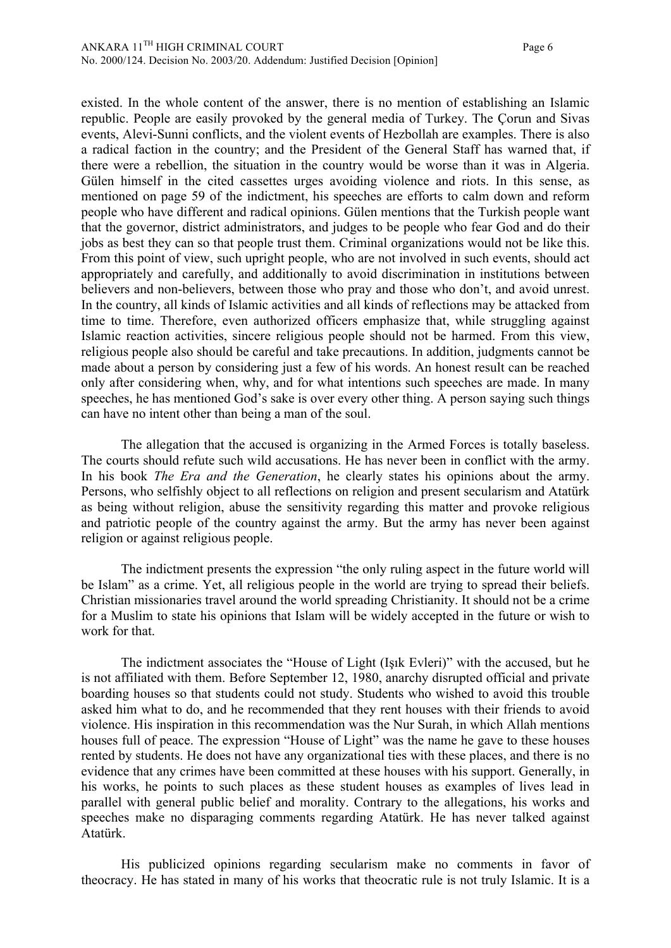existed. In the whole content of the answer, there is no mention of establishing an Islamic republic. People are easily provoked by the general media of Turkey. The Çorun and Sivas events, Alevi-Sunni conflicts, and the violent events of Hezbollah are examples. There is also a radical faction in the country; and the President of the General Staff has warned that, if there were a rebellion, the situation in the country would be worse than it was in Algeria. Gülen himself in the cited cassettes urges avoiding violence and riots. In this sense, as mentioned on page 59 of the indictment, his speeches are efforts to calm down and reform people who have different and radical opinions. Gülen mentions that the Turkish people want that the governor, district administrators, and judges to be people who fear God and do their jobs as best they can so that people trust them. Criminal organizations would not be like this. From this point of view, such upright people, who are not involved in such events, should act appropriately and carefully, and additionally to avoid discrimination in institutions between believers and non-believers, between those who pray and those who don't, and avoid unrest. In the country, all kinds of Islamic activities and all kinds of reflections may be attacked from time to time. Therefore, even authorized officers emphasize that, while struggling against Islamic reaction activities, sincere religious people should not be harmed. From this view, religious people also should be careful and take precautions. In addition, judgments cannot be made about a person by considering just a few of his words. An honest result can be reached only after considering when, why, and for what intentions such speeches are made. In many speeches, he has mentioned God's sake is over every other thing. A person saying such things can have no intent other than being a man of the soul.

The allegation that the accused is organizing in the Armed Forces is totally baseless. The courts should refute such wild accusations. He has never been in conflict with the army. In his book *The Era and the Generation*, he clearly states his opinions about the army. Persons, who selfishly object to all reflections on religion and present secularism and Atatürk as being without religion, abuse the sensitivity regarding this matter and provoke religious and patriotic people of the country against the army. But the army has never been against religion or against religious people.

The indictment presents the expression "the only ruling aspect in the future world will be Islam" as a crime. Yet, all religious people in the world are trying to spread their beliefs. Christian missionaries travel around the world spreading Christianity. It should not be a crime for a Muslim to state his opinions that Islam will be widely accepted in the future or wish to work for that.

The indictment associates the "House of Light (Işık Evleri)" with the accused, but he is not affiliated with them. Before September 12, 1980, anarchy disrupted official and private boarding houses so that students could not study. Students who wished to avoid this trouble asked him what to do, and he recommended that they rent houses with their friends to avoid violence. His inspiration in this recommendation was the Nur Surah, in which Allah mentions houses full of peace. The expression "House of Light" was the name he gave to these houses rented by students. He does not have any organizational ties with these places, and there is no evidence that any crimes have been committed at these houses with his support. Generally, in his works, he points to such places as these student houses as examples of lives lead in parallel with general public belief and morality. Contrary to the allegations, his works and speeches make no disparaging comments regarding Atatürk. He has never talked against Atatürk.

His publicized opinions regarding secularism make no comments in favor of theocracy. He has stated in many of his works that theocratic rule is not truly Islamic. It is a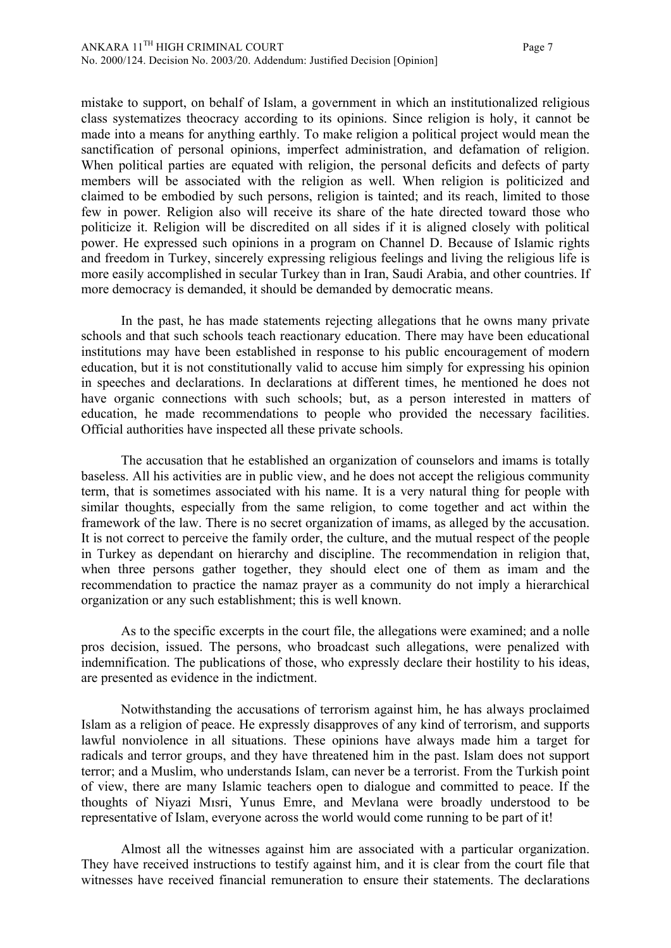mistake to support, on behalf of Islam, a government in which an institutionalized religious class systematizes theocracy according to its opinions. Since religion is holy, it cannot be made into a means for anything earthly. To make religion a political project would mean the sanctification of personal opinions, imperfect administration, and defamation of religion. When political parties are equated with religion, the personal deficits and defects of party members will be associated with the religion as well. When religion is politicized and claimed to be embodied by such persons, religion is tainted; and its reach, limited to those few in power. Religion also will receive its share of the hate directed toward those who politicize it. Religion will be discredited on all sides if it is aligned closely with political power. He expressed such opinions in a program on Channel D. Because of Islamic rights and freedom in Turkey, sincerely expressing religious feelings and living the religious life is more easily accomplished in secular Turkey than in Iran, Saudi Arabia, and other countries. If more democracy is demanded, it should be demanded by democratic means.

In the past, he has made statements rejecting allegations that he owns many private schools and that such schools teach reactionary education. There may have been educational institutions may have been established in response to his public encouragement of modern education, but it is not constitutionally valid to accuse him simply for expressing his opinion in speeches and declarations. In declarations at different times, he mentioned he does not have organic connections with such schools; but, as a person interested in matters of education, he made recommendations to people who provided the necessary facilities. Official authorities have inspected all these private schools.

The accusation that he established an organization of counselors and imams is totally baseless. All his activities are in public view, and he does not accept the religious community term, that is sometimes associated with his name. It is a very natural thing for people with similar thoughts, especially from the same religion, to come together and act within the framework of the law. There is no secret organization of imams, as alleged by the accusation. It is not correct to perceive the family order, the culture, and the mutual respect of the people in Turkey as dependant on hierarchy and discipline. The recommendation in religion that, when three persons gather together, they should elect one of them as imam and the recommendation to practice the namaz prayer as a community do not imply a hierarchical organization or any such establishment; this is well known.

As to the specific excerpts in the court file, the allegations were examined; and a nolle pros decision, issued. The persons, who broadcast such allegations, were penalized with indemnification. The publications of those, who expressly declare their hostility to his ideas, are presented as evidence in the indictment.

Notwithstanding the accusations of terrorism against him, he has always proclaimed Islam as a religion of peace. He expressly disapproves of any kind of terrorism, and supports lawful nonviolence in all situations. These opinions have always made him a target for radicals and terror groups, and they have threatened him in the past. Islam does not support terror; and a Muslim, who understands Islam, can never be a terrorist. From the Turkish point of view, there are many Islamic teachers open to dialogue and committed to peace. If the thoughts of Niyazi Mısri, Yunus Emre, and Mevlana were broadly understood to be representative of Islam, everyone across the world would come running to be part of it!

Almost all the witnesses against him are associated with a particular organization. They have received instructions to testify against him, and it is clear from the court file that witnesses have received financial remuneration to ensure their statements. The declarations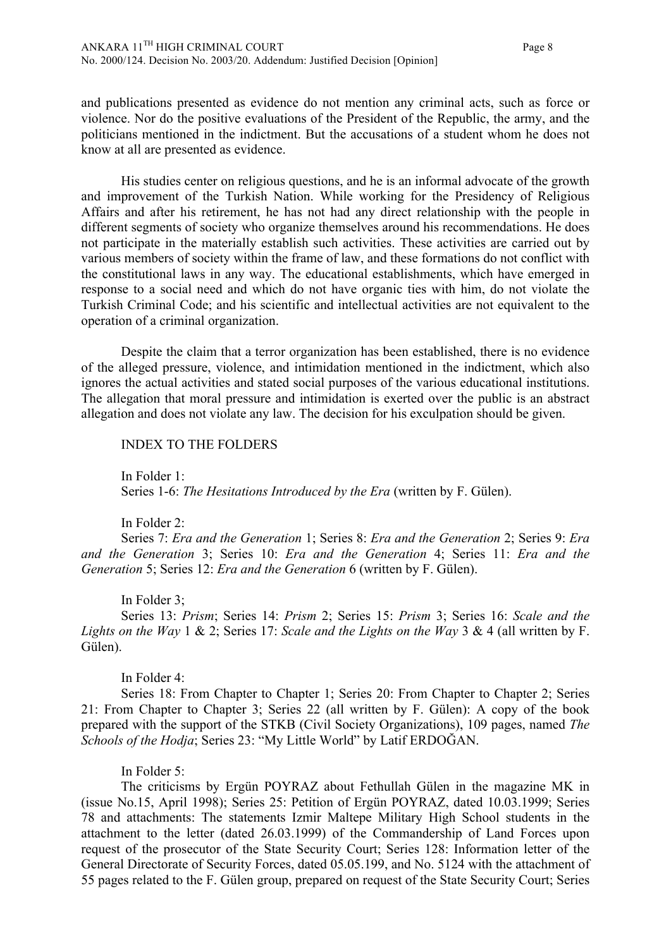and publications presented as evidence do not mention any criminal acts, such as force or violence. Nor do the positive evaluations of the President of the Republic, the army, and the politicians mentioned in the indictment. But the accusations of a student whom he does not know at all are presented as evidence.

His studies center on religious questions, and he is an informal advocate of the growth and improvement of the Turkish Nation. While working for the Presidency of Religious Affairs and after his retirement, he has not had any direct relationship with the people in different segments of society who organize themselves around his recommendations. He does not participate in the materially establish such activities. These activities are carried out by various members of society within the frame of law, and these formations do not conflict with the constitutional laws in any way. The educational establishments, which have emerged in response to a social need and which do not have organic ties with him, do not violate the Turkish Criminal Code; and his scientific and intellectual activities are not equivalent to the operation of a criminal organization.

Despite the claim that a terror organization has been established, there is no evidence of the alleged pressure, violence, and intimidation mentioned in the indictment, which also ignores the actual activities and stated social purposes of the various educational institutions. The allegation that moral pressure and intimidation is exerted over the public is an abstract allegation and does not violate any law. The decision for his exculpation should be given.

#### INDEX TO THE FOLDERS

In Folder 1: Series 1-6: *The Hesitations Introduced by the Era* (written by F. Gülen).

In Folder 2:

Series 7: *Era and the Generation* 1; Series 8: *Era and the Generation* 2; Series 9: *Era and the Generation* 3; Series 10: *Era and the Generation* 4; Series 11: *Era and the Generation* 5; Series 12: *Era and the Generation* 6 (written by F. Gülen).

In Folder 3;

Series 13: *Prism*; Series 14: *Prism* 2; Series 15: *Prism* 3; Series 16: *Scale and the Lights on the Way* 1 & 2; Series 17: *Scale and the Lights on the Way* 3 & 4 (all written by F. Gülen).

In Folder 4:

Series 18: From Chapter to Chapter 1; Series 20: From Chapter to Chapter 2; Series 21: From Chapter to Chapter 3; Series 22 (all written by F. Gülen): A copy of the book prepared with the support of the STKB (Civil Society Organizations), 109 pages, named *The Schools of the Hodja*; Series 23: "My Little World" by Latif ERDOĞAN.

In Folder 5:

The criticisms by Ergün POYRAZ about Fethullah Gülen in the magazine MK in (issue No.15, April 1998); Series 25: Petition of Ergün POYRAZ, dated 10.03.1999; Series 78 and attachments: The statements Izmir Maltepe Military High School students in the attachment to the letter (dated 26.03.1999) of the Commandership of Land Forces upon request of the prosecutor of the State Security Court; Series 128: Information letter of the General Directorate of Security Forces, dated 05.05.199, and No. 5124 with the attachment of 55 pages related to the F. Gülen group, prepared on request of the State Security Court; Series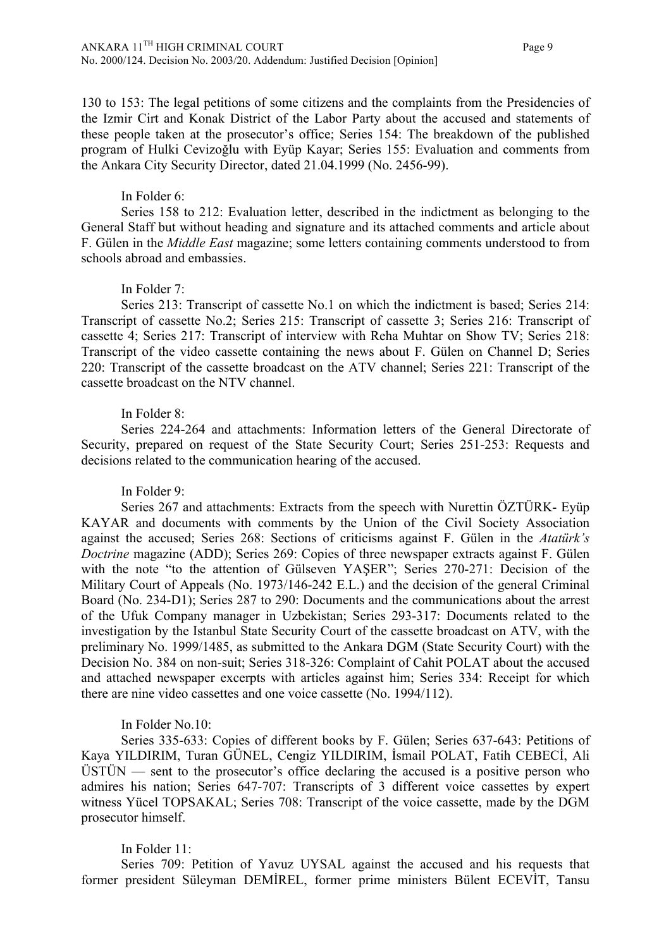130 to 153: The legal petitions of some citizens and the complaints from the Presidencies of the Izmir Cirt and Konak District of the Labor Party about the accused and statements of these people taken at the prosecutor's office; Series 154: The breakdown of the published program of Hulki Cevizoğlu with Eyüp Kayar; Series 155: Evaluation and comments from the Ankara City Security Director, dated 21.04.1999 (No. 2456-99).

#### In Folder 6:

Series 158 to 212: Evaluation letter, described in the indictment as belonging to the General Staff but without heading and signature and its attached comments and article about F. Gülen in the *Middle East* magazine; some letters containing comments understood to from schools abroad and embassies.

## In Folder 7:

Series 213: Transcript of cassette No.1 on which the indictment is based; Series 214: Transcript of cassette No.2; Series 215: Transcript of cassette 3; Series 216: Transcript of cassette 4; Series 217: Transcript of interview with Reha Muhtar on Show TV; Series 218: Transcript of the video cassette containing the news about F. Gülen on Channel D; Series 220: Transcript of the cassette broadcast on the ATV channel; Series 221: Transcript of the cassette broadcast on the NTV channel.

## In Folder 8:

Series 224-264 and attachments: Information letters of the General Directorate of Security, prepared on request of the State Security Court; Series 251-253: Requests and decisions related to the communication hearing of the accused.

## In Folder 9:

Series 267 and attachments: Extracts from the speech with Nurettin ÖZTÜRK- Eyüp KAYAR and documents with comments by the Union of the Civil Society Association against the accused; Series 268: Sections of criticisms against F. Gülen in the *Atatürk's Doctrine* magazine (ADD); Series 269: Copies of three newspaper extracts against F. Gülen with the note "to the attention of Gülseven YAŞER"; Series 270-271: Decision of the Military Court of Appeals (No. 1973/146-242 E.L.) and the decision of the general Criminal Board (No. 234-D1); Series 287 to 290: Documents and the communications about the arrest of the Ufuk Company manager in Uzbekistan; Series 293-317: Documents related to the investigation by the Istanbul State Security Court of the cassette broadcast on ATV, with the preliminary No. 1999/1485, as submitted to the Ankara DGM (State Security Court) with the Decision No. 384 on non-suit; Series 318-326: Complaint of Cahit POLAT about the accused and attached newspaper excerpts with articles against him; Series 334: Receipt for which there are nine video cassettes and one voice cassette (No. 1994/112).

## In Folder No.10:

Series 335-633: Copies of different books by F. Gülen; Series 637-643: Petitions of Kaya YILDIRIM, Turan GÜNEL, Cengiz YILDIRIM, İsmail POLAT, Fatih CEBECİ, Ali  $\overline{U}ST\overline{U}N$  — sent to the prosecutor's office declaring the accused is a positive person who admires his nation; Series 647-707: Transcripts of 3 different voice cassettes by expert witness Yücel TOPSAKAL; Series 708: Transcript of the voice cassette, made by the DGM prosecutor himself.

## In Folder 11:

Series 709: Petition of Yavuz UYSAL against the accused and his requests that former president Süleyman DEMİREL, former prime ministers Bülent ECEVİT, Tansu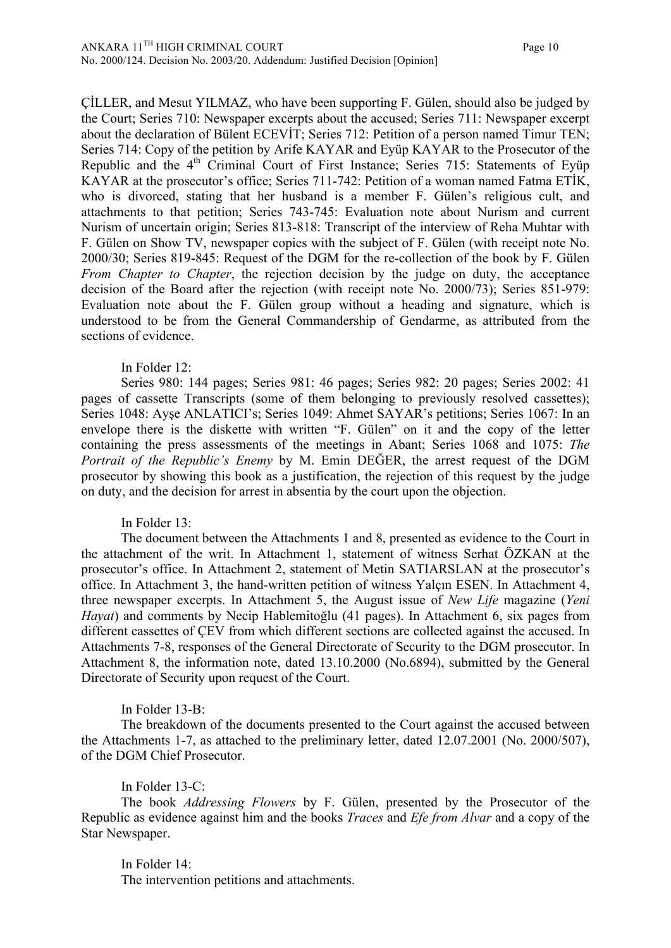ÇİLLER, and Mesut YILMAZ, who have been supporting F. Gülen, should also be judged by the Court; Series 710: Newspaper excerpts about the accused; Series 711: Newspaper excerpt about the declaration of Bülent ECEVİT; Series 712: Petition of a person named Timur TEN; Series 714: Copy of the petition by Arife KAYAR and Eyüp KAYAR to the Prosecutor of the Republic and the  $4<sup>th</sup>$  Criminal Court of First Instance; Series 715: Statements of Eyüp KAYAR at the prosecutor's office; Series 711-742: Petition of a woman named Fatma ETİK, who is divorced, stating that her husband is a member F. Gülen's religious cult, and attachments to that petition; Series 743-745: Evaluation note about Nurism and current Nurism of uncertain origin; Series 813-818: Transcript of the interview of Reha Muhtar with F. Gülen on Show TV, newspaper copies with the subject of F. Gülen (with receipt note No. 2000/30; Series 819-845: Request of the DGM for the re-collection of the book by F. Gülen *From Chapter to Chapter*, the rejection decision by the judge on duty, the acceptance decision of the Board after the rejection (with receipt note No. 2000/73); Series 851-979: Evaluation note about the F. Gülen group without a heading and signature, which is understood to be from the General Commandership of Gendarme, as attributed from the sections of evidence.

# In Folder 12:

Series 980: 144 pages; Series 981: 46 pages; Series 982: 20 pages; Series 2002: 41 pages of cassette Transcripts (some of them belonging to previously resolved cassettes); Series 1048: Ayşe ANLATICI's; Series 1049: Ahmet SAYAR's petitions; Series 1067: In an envelope there is the diskette with written "F. Gülen" on it and the copy of the letter containing the press assessments of the meetings in Abant; Series 1068 and 1075: *The Portrait of the Republic's Enemy* by M. Emin DEĞER, the arrest request of the DGM prosecutor by showing this book as a justification, the rejection of this request by the judge on duty, and the decision for arrest in absentia by the court upon the objection.

# In Folder 13:

The document between the Attachments 1 and 8, presented as evidence to the Court in the attachment of the writ. In Attachment 1, statement of witness Serhat ÖZKAN at the prosecutor's office. In Attachment 2, statement of Metin SATIARSLAN at the prosecutor's office. In Attachment 3, the hand-written petition of witness Yalçın ESEN. In Attachment 4, three newspaper excerpts. In Attachment 5, the August issue of *New Life* magazine (*Yeni Hayat*) and comments by Necip Hablemitoğlu (41 pages). In Attachment 6, six pages from different cassettes of ÇEV from which different sections are collected against the accused. In Attachments 7-8, responses of the General Directorate of Security to the DGM prosecutor. In Attachment 8, the information note, dated 13.10.2000 (No.6894), submitted by the General Directorate of Security upon request of the Court.

## In Folder 13-B:

The breakdown of the documents presented to the Court against the accused between the Attachments 1-7, as attached to the preliminary letter, dated 12.07.2001 (No. 2000/507), of the DGM Chief Prosecutor.

## In Folder 13-C:

The book *Addressing Flowers* by F. Gülen, presented by the Prosecutor of the Republic as evidence against him and the books *Traces* and *Efe from Alvar* and a copy of the Star Newspaper.

In Folder 14: The intervention petitions and attachments.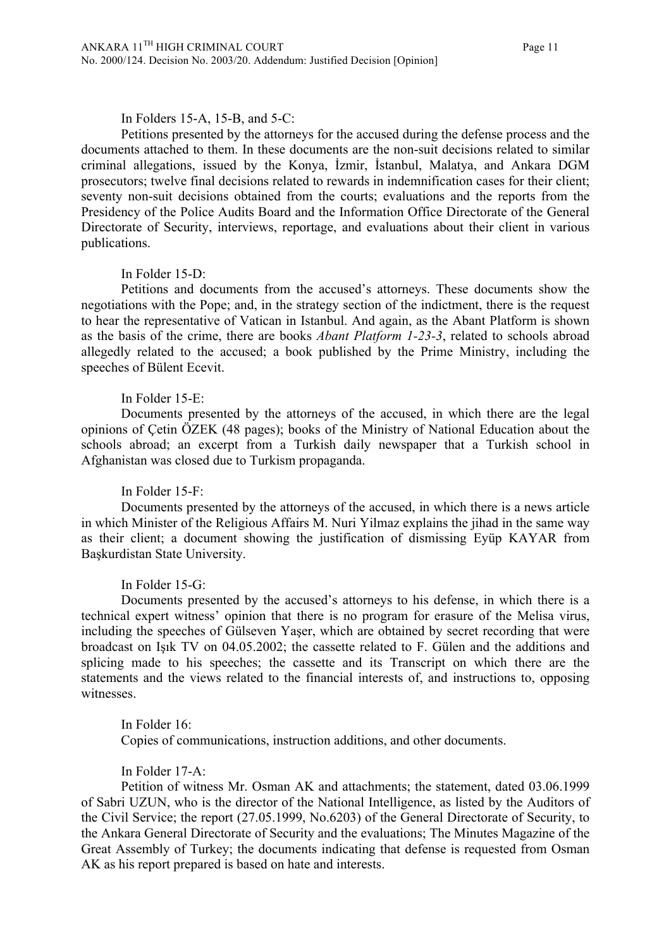# In Folders 15-A, 15-B, and 5-C:

Petitions presented by the attorneys for the accused during the defense process and the documents attached to them. In these documents are the non-suit decisions related to similar criminal allegations, issued by the Konya, İzmir, İstanbul, Malatya, and Ankara DGM prosecutors; twelve final decisions related to rewards in indemnification cases for their client; seventy non-suit decisions obtained from the courts; evaluations and the reports from the Presidency of the Police Audits Board and the Information Office Directorate of the General Directorate of Security, interviews, reportage, and evaluations about their client in various publications.

#### In Folder 15-D:

Petitions and documents from the accused's attorneys. These documents show the negotiations with the Pope; and, in the strategy section of the indictment, there is the request to hear the representative of Vatican in Istanbul. And again, as the Abant Platform is shown as the basis of the crime, there are books *Abant Platform 1-23-3*, related to schools abroad allegedly related to the accused; a book published by the Prime Ministry, including the speeches of Bülent Ecevit.

## In Folder 15-E:

Documents presented by the attorneys of the accused, in which there are the legal opinions of Çetin ÖZEK (48 pages); books of the Ministry of National Education about the schools abroad; an excerpt from a Turkish daily newspaper that a Turkish school in Afghanistan was closed due to Turkism propaganda.

## In Folder 15-F:

Documents presented by the attorneys of the accused, in which there is a news article in which Minister of the Religious Affairs M. Nuri Yilmaz explains the jihad in the same way as their client; a document showing the justification of dismissing Eyüp KAYAR from Başkurdistan State University.

## In Folder 15-G:

Documents presented by the accused's attorneys to his defense, in which there is a technical expert witness' opinion that there is no program for erasure of the Melisa virus, including the speeches of Gülseven Yaşer, which are obtained by secret recording that were broadcast on Işık TV on 04.05.2002; the cassette related to F. Gülen and the additions and splicing made to his speeches; the cassette and its Transcript on which there are the statements and the views related to the financial interests of, and instructions to, opposing witnesses.

In Folder 16: Copies of communications, instruction additions, and other documents.

In Folder 17-A:

Petition of witness Mr. Osman AK and attachments; the statement, dated 03.06.1999 of Sabri UZUN, who is the director of the National Intelligence, as listed by the Auditors of the Civil Service; the report (27.05.1999, No.6203) of the General Directorate of Security, to the Ankara General Directorate of Security and the evaluations; The Minutes Magazine of the Great Assembly of Turkey; the documents indicating that defense is requested from Osman AK as his report prepared is based on hate and interests.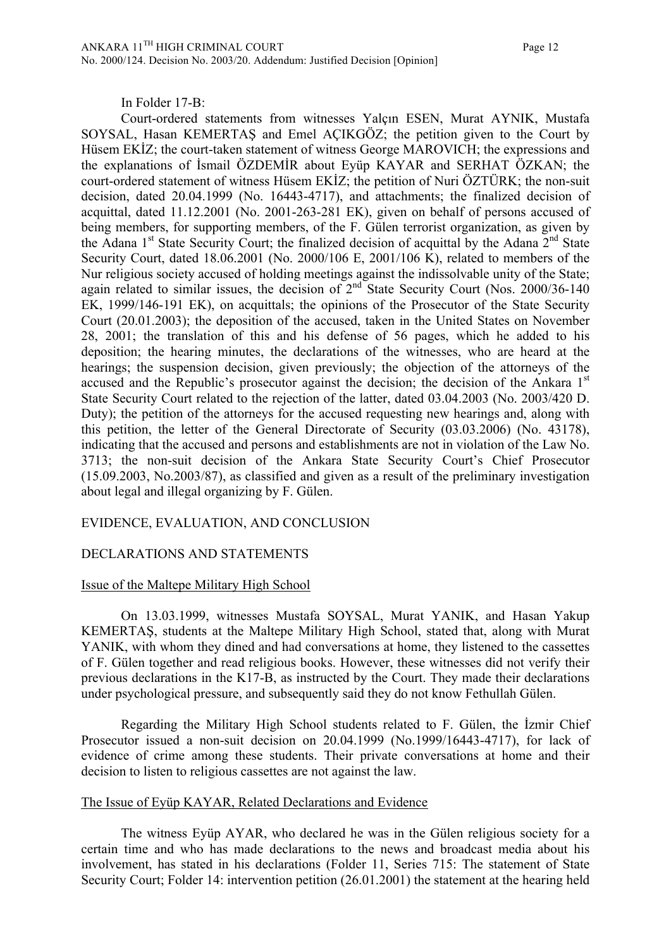In Folder 17-B:

Court-ordered statements from witnesses Yalçın ESEN, Murat AYNIK, Mustafa SOYSAL, Hasan KEMERTAŞ and Emel AÇIKGÖZ; the petition given to the Court by Hüsem EKİZ; the court-taken statement of witness George MAROVICH; the expressions and the explanations of İsmail ÖZDEMİR about Eyüp KAYAR and SERHAT ÖZKAN; the court-ordered statement of witness Hüsem EKİZ; the petition of Nuri ÖZTÜRK; the non-suit decision, dated 20.04.1999 (No. 16443-4717), and attachments; the finalized decision of acquittal, dated 11.12.2001 (No. 2001-263-281 EK), given on behalf of persons accused of being members, for supporting members, of the F. Gülen terrorist organization, as given by the Adana  $1<sup>st</sup>$  State Security Court; the finalized decision of acquittal by the Adana  $2<sup>nd</sup>$  State Security Court, dated 18.06.2001 (No. 2000/106 E, 2001/106 K), related to members of the Nur religious society accused of holding meetings against the indissolvable unity of the State; again related to similar issues, the decision of  $2<sup>nd</sup>$  State Security Court (Nos. 2000/36-140) EK, 1999/146-191 EK), on acquittals; the opinions of the Prosecutor of the State Security Court (20.01.2003); the deposition of the accused, taken in the United States on November 28, 2001; the translation of this and his defense of 56 pages, which he added to his deposition; the hearing minutes, the declarations of the witnesses, who are heard at the hearings; the suspension decision, given previously; the objection of the attorneys of the accused and the Republic's prosecutor against the decision; the decision of the Ankara 1<sup>st</sup> State Security Court related to the rejection of the latter, dated 03.04.2003 (No. 2003/420 D. Duty); the petition of the attorneys for the accused requesting new hearings and, along with this petition, the letter of the General Directorate of Security (03.03.2006) (No. 43178), indicating that the accused and persons and establishments are not in violation of the Law No. 3713; the non-suit decision of the Ankara State Security Court's Chief Prosecutor (15.09.2003, No.2003/87), as classified and given as a result of the preliminary investigation about legal and illegal organizing by F. Gülen.

## EVIDENCE, EVALUATION, AND CONCLUSION

## DECLARATIONS AND STATEMENTS

## Issue of the Maltepe Military High School

On 13.03.1999, witnesses Mustafa SOYSAL, Murat YANIK, and Hasan Yakup KEMERTAŞ, students at the Maltepe Military High School, stated that, along with Murat YANIK, with whom they dined and had conversations at home, they listened to the cassettes of F. Gülen together and read religious books. However, these witnesses did not verify their previous declarations in the K17-B, as instructed by the Court. They made their declarations under psychological pressure, and subsequently said they do not know Fethullah Gülen.

Regarding the Military High School students related to F. Gülen, the İzmir Chief Prosecutor issued a non-suit decision on 20.04.1999 (No.1999/16443-4717), for lack of evidence of crime among these students. Their private conversations at home and their decision to listen to religious cassettes are not against the law.

## The Issue of Eyüp KAYAR, Related Declarations and Evidence

The witness Eyüp AYAR, who declared he was in the Gülen religious society for a certain time and who has made declarations to the news and broadcast media about his involvement, has stated in his declarations (Folder 11, Series 715: The statement of State Security Court; Folder 14: intervention petition (26.01.2001) the statement at the hearing held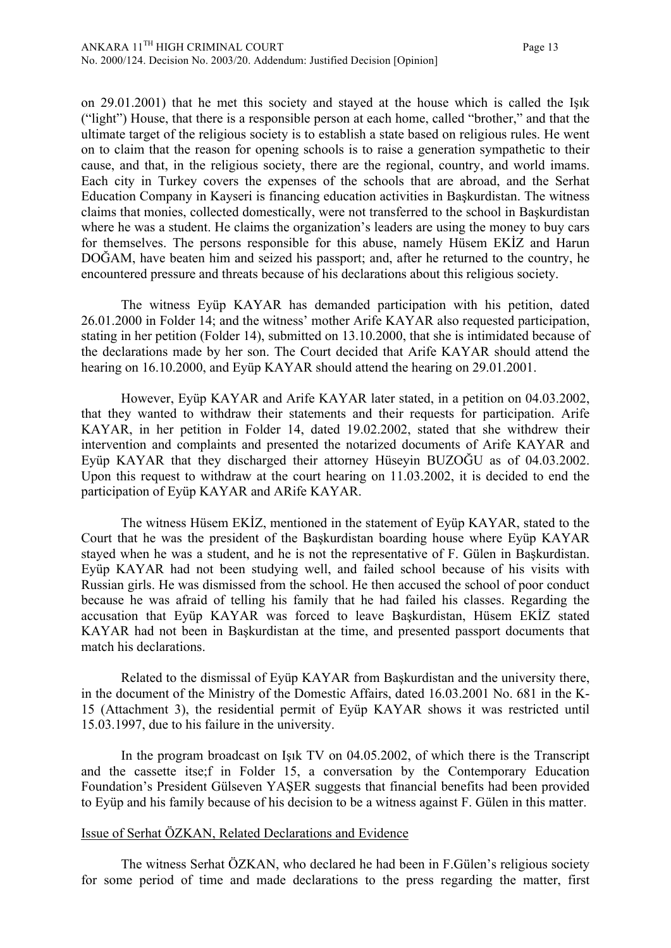on 29.01.2001) that he met this society and stayed at the house which is called the Işık ("light") House, that there is a responsible person at each home, called "brother," and that the ultimate target of the religious society is to establish a state based on religious rules. He went on to claim that the reason for opening schools is to raise a generation sympathetic to their cause, and that, in the religious society, there are the regional, country, and world imams. Each city in Turkey covers the expenses of the schools that are abroad, and the Serhat Education Company in Kayseri is financing education activities in Başkurdistan. The witness claims that monies, collected domestically, were not transferred to the school in Başkurdistan where he was a student. He claims the organization's leaders are using the money to buy cars for themselves. The persons responsible for this abuse, namely Hüsem EKİZ and Harun DOĞAM, have beaten him and seized his passport; and, after he returned to the country, he encountered pressure and threats because of his declarations about this religious society.

The witness Eyüp KAYAR has demanded participation with his petition, dated 26.01.2000 in Folder 14; and the witness' mother Arife KAYAR also requested participation, stating in her petition (Folder 14), submitted on 13.10.2000, that she is intimidated because of the declarations made by her son. The Court decided that Arife KAYAR should attend the hearing on 16.10.2000, and Eyüp KAYAR should attend the hearing on 29.01.2001.

However, Eyüp KAYAR and Arife KAYAR later stated, in a petition on 04.03.2002, that they wanted to withdraw their statements and their requests for participation. Arife KAYAR, in her petition in Folder 14, dated 19.02.2002, stated that she withdrew their intervention and complaints and presented the notarized documents of Arife KAYAR and Eyüp KAYAR that they discharged their attorney Hüseyin BUZOĞU as of 04.03.2002. Upon this request to withdraw at the court hearing on 11.03.2002, it is decided to end the participation of Eyüp KAYAR and ARife KAYAR.

The witness Hüsem EKİZ, mentioned in the statement of Eyüp KAYAR, stated to the Court that he was the president of the Başkurdistan boarding house where Eyüp KAYAR stayed when he was a student, and he is not the representative of F. Gülen in Başkurdistan. Eyüp KAYAR had not been studying well, and failed school because of his visits with Russian girls. He was dismissed from the school. He then accused the school of poor conduct because he was afraid of telling his family that he had failed his classes. Regarding the accusation that Eyüp KAYAR was forced to leave Başkurdistan, Hüsem EKİZ stated KAYAR had not been in Başkurdistan at the time, and presented passport documents that match his declarations.

Related to the dismissal of Eyüp KAYAR from Başkurdistan and the university there, in the document of the Ministry of the Domestic Affairs, dated 16.03.2001 No. 681 in the K-15 (Attachment 3), the residential permit of Eyüp KAYAR shows it was restricted until 15.03.1997, due to his failure in the university.

In the program broadcast on Işık TV on 04.05.2002, of which there is the Transcript and the cassette itse;f in Folder 15, a conversation by the Contemporary Education Foundation's President Gülseven YAŞER suggests that financial benefits had been provided to Eyüp and his family because of his decision to be a witness against F. Gülen in this matter.

#### Issue of Serhat ÖZKAN, Related Declarations and Evidence

The witness Serhat ÖZKAN, who declared he had been in F.Gülen's religious society for some period of time and made declarations to the press regarding the matter, first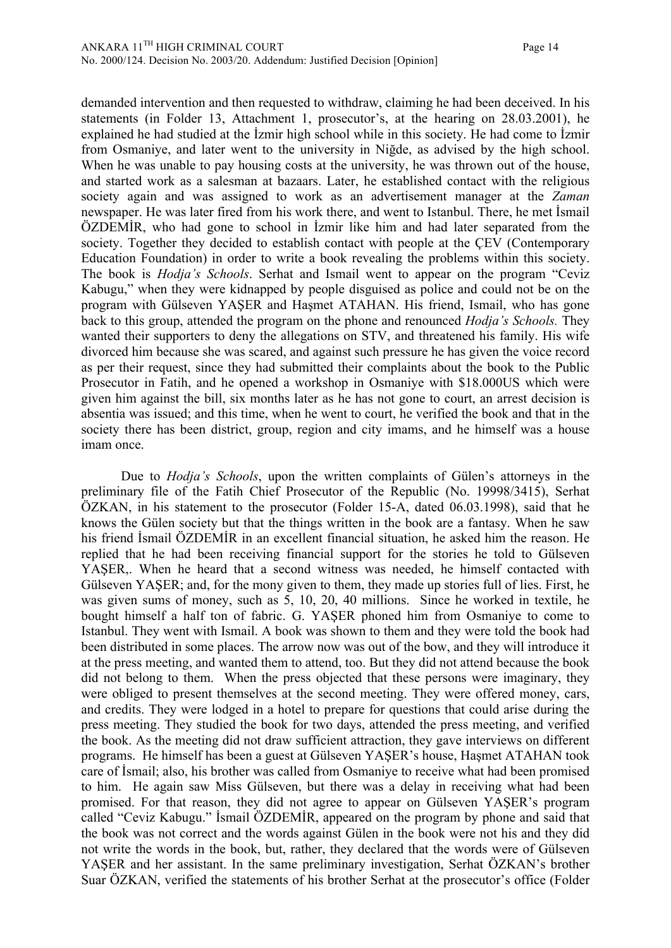demanded intervention and then requested to withdraw, claiming he had been deceived. In his statements (in Folder 13, Attachment 1, prosecutor's, at the hearing on 28.03.2001), he explained he had studied at the İzmir high school while in this society. He had come to İzmir from Osmaniye, and later went to the university in Niğde, as advised by the high school. When he was unable to pay housing costs at the university, he was thrown out of the house, and started work as a salesman at bazaars. Later, he established contact with the religious society again and was assigned to work as an advertisement manager at the *Zaman* newspaper. He was later fired from his work there, and went to Istanbul. There, he met İsmail ÖZDEMİR, who had gone to school in İzmir like him and had later separated from the society. Together they decided to establish contact with people at the ÇEV (Contemporary Education Foundation) in order to write a book revealing the problems within this society. The book is *Hodja's Schools*. Serhat and Ismail went to appear on the program "Ceviz Kabugu," when they were kidnapped by people disguised as police and could not be on the program with Gülseven YAŞER and Haşmet ATAHAN. His friend, Ismail, who has gone back to this group, attended the program on the phone and renounced *Hodja's Schools.* They wanted their supporters to deny the allegations on STV, and threatened his family. His wife divorced him because she was scared, and against such pressure he has given the voice record as per their request, since they had submitted their complaints about the book to the Public Prosecutor in Fatih, and he opened a workshop in Osmaniye with \$18.000US which were given him against the bill, six months later as he has not gone to court, an arrest decision is absentia was issued; and this time, when he went to court, he verified the book and that in the society there has been district, group, region and city imams, and he himself was a house imam once.

Due to *Hodja's Schools*, upon the written complaints of Gülen's attorneys in the preliminary file of the Fatih Chief Prosecutor of the Republic (No. 19998/3415), Serhat ÖZKAN, in his statement to the prosecutor (Folder 15-A, dated 06.03.1998), said that he knows the Gülen society but that the things written in the book are a fantasy. When he saw his friend İsmail ÖZDEMİR in an excellent financial situation, he asked him the reason. He replied that he had been receiving financial support for the stories he told to Gülseven YAŞER,. When he heard that a second witness was needed, he himself contacted with Gülseven YAŞER; and, for the mony given to them, they made up stories full of lies. First, he was given sums of money, such as 5, 10, 20, 40 millions. Since he worked in textile, he bought himself a half ton of fabric. G. YAŞER phoned him from Osmaniye to come to Istanbul. They went with Ismail. A book was shown to them and they were told the book had been distributed in some places. The arrow now was out of the bow, and they will introduce it at the press meeting, and wanted them to attend, too. But they did not attend because the book did not belong to them. When the press objected that these persons were imaginary, they were obliged to present themselves at the second meeting. They were offered money, cars, and credits. They were lodged in a hotel to prepare for questions that could arise during the press meeting. They studied the book for two days, attended the press meeting, and verified the book. As the meeting did not draw sufficient attraction, they gave interviews on different programs. He himself has been a guest at Gülseven YAŞER's house, Haşmet ATAHAN took care of İsmail; also, his brother was called from Osmaniye to receive what had been promised to him. He again saw Miss Gülseven, but there was a delay in receiving what had been promised. For that reason, they did not agree to appear on Gülseven YAŞER's program called "Ceviz Kabugu." İsmail ÖZDEMİR, appeared on the program by phone and said that the book was not correct and the words against Gülen in the book were not his and they did not write the words in the book, but, rather, they declared that the words were of Gülseven YAŞER and her assistant. In the same preliminary investigation, Serhat ÖZKAN's brother Suar ÖZKAN, verified the statements of his brother Serhat at the prosecutor's office (Folder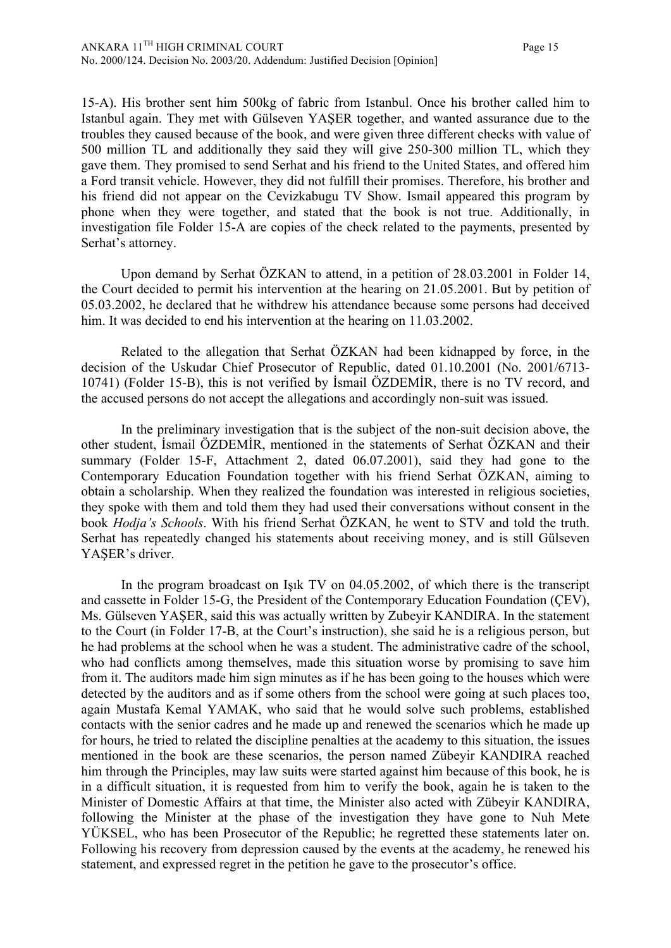15-A). His brother sent him 500kg of fabric from Istanbul. Once his brother called him to Istanbul again. They met with Gülseven YAŞER together, and wanted assurance due to the troubles they caused because of the book, and were given three different checks with value of 500 million TL and additionally they said they will give 250-300 million TL, which they gave them. They promised to send Serhat and his friend to the United States, and offered him a Ford transit vehicle. However, they did not fulfill their promises. Therefore, his brother and his friend did not appear on the Cevizkabugu TV Show. Ismail appeared this program by phone when they were together, and stated that the book is not true. Additionally, in investigation file Folder 15-A are copies of the check related to the payments, presented by Serhat's attorney.

Upon demand by Serhat ÖZKAN to attend, in a petition of 28.03.2001 in Folder 14, the Court decided to permit his intervention at the hearing on 21.05.2001. But by petition of 05.03.2002, he declared that he withdrew his attendance because some persons had deceived him. It was decided to end his intervention at the hearing on 11.03.2002.

Related to the allegation that Serhat ÖZKAN had been kidnapped by force, in the decision of the Uskudar Chief Prosecutor of Republic, dated 01.10.2001 (No. 2001/6713- 10741) (Folder 15-B), this is not verified by İsmail ÖZDEMİR, there is no TV record, and the accused persons do not accept the allegations and accordingly non-suit was issued.

In the preliminary investigation that is the subject of the non-suit decision above, the other student, İsmail ÖZDEMİR, mentioned in the statements of Serhat ÖZKAN and their summary (Folder 15-F, Attachment 2, dated 06.07.2001), said they had gone to the Contemporary Education Foundation together with his friend Serhat ÖZKAN, aiming to obtain a scholarship. When they realized the foundation was interested in religious societies, they spoke with them and told them they had used their conversations without consent in the book *Hodja's Schools*. With his friend Serhat ÖZKAN, he went to STV and told the truth. Serhat has repeatedly changed his statements about receiving money, and is still Gülseven YAŞER's driver.

In the program broadcast on Işık TV on 04.05.2002, of which there is the transcript and cassette in Folder 15-G, the President of the Contemporary Education Foundation (ÇEV), Ms. Gülseven YAŞER, said this was actually written by Zubeyir KANDIRA. In the statement to the Court (in Folder 17-B, at the Court's instruction), she said he is a religious person, but he had problems at the school when he was a student. The administrative cadre of the school, who had conflicts among themselves, made this situation worse by promising to save him from it. The auditors made him sign minutes as if he has been going to the houses which were detected by the auditors and as if some others from the school were going at such places too, again Mustafa Kemal YAMAK, who said that he would solve such problems, established contacts with the senior cadres and he made up and renewed the scenarios which he made up for hours, he tried to related the discipline penalties at the academy to this situation, the issues mentioned in the book are these scenarios, the person named Zübeyir KANDIRA reached him through the Principles, may law suits were started against him because of this book, he is in a difficult situation, it is requested from him to verify the book, again he is taken to the Minister of Domestic Affairs at that time, the Minister also acted with Zübeyir KANDIRA, following the Minister at the phase of the investigation they have gone to Nuh Mete YÜKSEL, who has been Prosecutor of the Republic; he regretted these statements later on. Following his recovery from depression caused by the events at the academy, he renewed his statement, and expressed regret in the petition he gave to the prosecutor's office.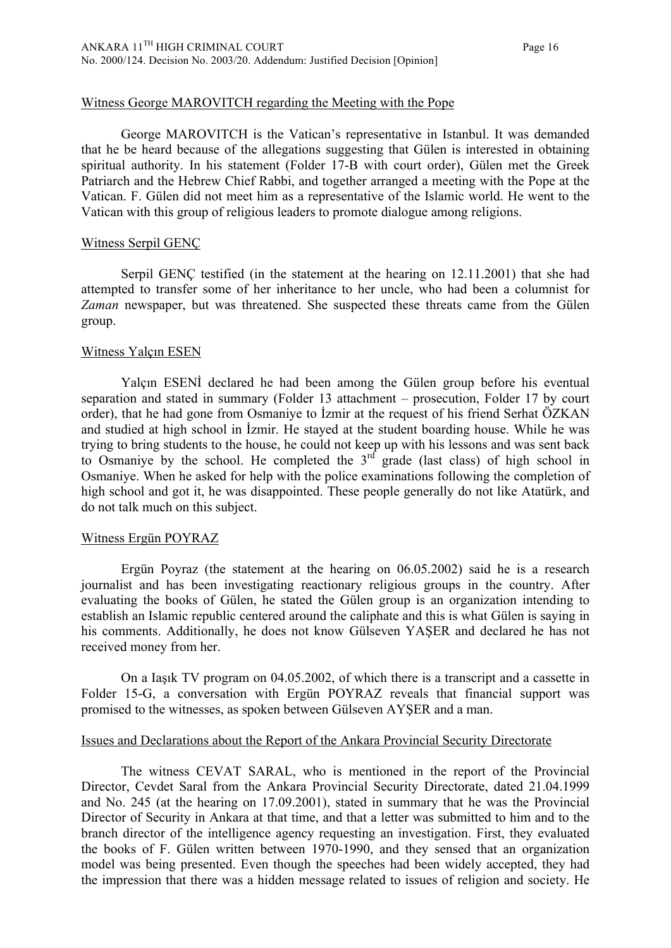#### Witness George MAROVITCH regarding the Meeting with the Pope

George MAROVITCH is the Vatican's representative in Istanbul. It was demanded that he be heard because of the allegations suggesting that Gülen is interested in obtaining spiritual authority. In his statement (Folder 17-B with court order), Gülen met the Greek Patriarch and the Hebrew Chief Rabbi, and together arranged a meeting with the Pope at the Vatican. F. Gülen did not meet him as a representative of the Islamic world. He went to the Vatican with this group of religious leaders to promote dialogue among religions.

#### Witness Serpil GENÇ

Serpil GENÇ testified (in the statement at the hearing on 12.11.2001) that she had attempted to transfer some of her inheritance to her uncle, who had been a columnist for *Zaman* newspaper, but was threatened. She suspected these threats came from the Gülen group.

#### Witness Yalçın ESEN

Yalçın ESENİ declared he had been among the Gülen group before his eventual separation and stated in summary (Folder 13 attachment – prosecution, Folder 17 by court order), that he had gone from Osmaniye to İzmir at the request of his friend Serhat ÖZKAN and studied at high school in İzmir. He stayed at the student boarding house. While he was trying to bring students to the house, he could not keep up with his lessons and was sent back to Osmaniye by the school. He completed the  $3<sup>rd</sup>$  grade (last class) of high school in Osmaniye. When he asked for help with the police examinations following the completion of high school and got it, he was disappointed. These people generally do not like Atatürk, and do not talk much on this subject.

#### Witness Ergün POYRAZ

Ergün Poyraz (the statement at the hearing on 06.05.2002) said he is a research journalist and has been investigating reactionary religious groups in the country. After evaluating the books of Gülen, he stated the Gülen group is an organization intending to establish an Islamic republic centered around the caliphate and this is what Gülen is saying in his comments. Additionally, he does not know Gülseven YAŞER and declared he has not received money from her.

On a Iaşık TV program on 04.05.2002, of which there is a transcript and a cassette in Folder 15-G, a conversation with Ergün POYRAZ reveals that financial support was promised to the witnesses, as spoken between Gülseven AYŞER and a man.

#### Issues and Declarations about the Report of the Ankara Provincial Security Directorate

The witness CEVAT SARAL, who is mentioned in the report of the Provincial Director, Cevdet Saral from the Ankara Provincial Security Directorate, dated 21.04.1999 and No. 245 (at the hearing on 17.09.2001), stated in summary that he was the Provincial Director of Security in Ankara at that time, and that a letter was submitted to him and to the branch director of the intelligence agency requesting an investigation. First, they evaluated the books of F. Gülen written between 1970-1990, and they sensed that an organization model was being presented. Even though the speeches had been widely accepted, they had the impression that there was a hidden message related to issues of religion and society. He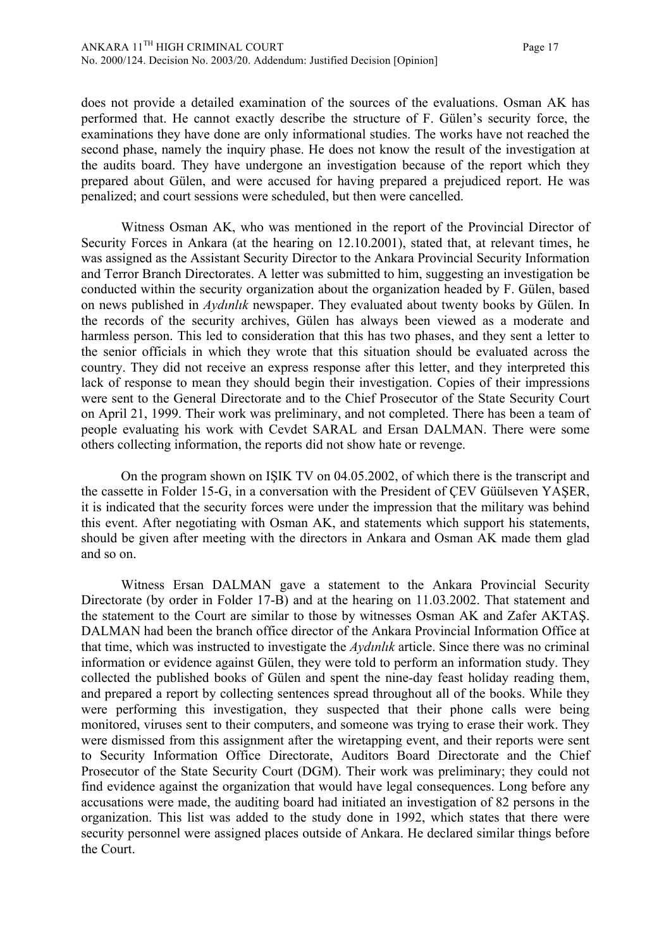does not provide a detailed examination of the sources of the evaluations. Osman AK has performed that. He cannot exactly describe the structure of F. Gülen's security force, the examinations they have done are only informational studies. The works have not reached the second phase, namely the inquiry phase. He does not know the result of the investigation at the audits board. They have undergone an investigation because of the report which they prepared about Gülen, and were accused for having prepared a prejudiced report. He was penalized; and court sessions were scheduled, but then were cancelled.

Witness Osman AK, who was mentioned in the report of the Provincial Director of Security Forces in Ankara (at the hearing on 12.10.2001), stated that, at relevant times, he was assigned as the Assistant Security Director to the Ankara Provincial Security Information and Terror Branch Directorates. A letter was submitted to him, suggesting an investigation be conducted within the security organization about the organization headed by F. Gülen, based on news published in *Aydınlık* newspaper. They evaluated about twenty books by Gülen. In the records of the security archives, Gülen has always been viewed as a moderate and harmless person. This led to consideration that this has two phases, and they sent a letter to the senior officials in which they wrote that this situation should be evaluated across the country. They did not receive an express response after this letter, and they interpreted this lack of response to mean they should begin their investigation. Copies of their impressions were sent to the General Directorate and to the Chief Prosecutor of the State Security Court on April 21, 1999. Their work was preliminary, and not completed. There has been a team of people evaluating his work with Cevdet SARAL and Ersan DALMAN. There were some others collecting information, the reports did not show hate or revenge.

On the program shown on IŞIK TV on 04.05.2002, of which there is the transcript and the cassette in Folder 15-G, in a conversation with the President of ÇEV Güülseven YAŞER, it is indicated that the security forces were under the impression that the military was behind this event. After negotiating with Osman AK, and statements which support his statements, should be given after meeting with the directors in Ankara and Osman AK made them glad and so on.

Witness Ersan DALMAN gave a statement to the Ankara Provincial Security Directorate (by order in Folder 17-B) and at the hearing on 11.03.2002. That statement and the statement to the Court are similar to those by witnesses Osman AK and Zafer AKTAŞ. DALMAN had been the branch office director of the Ankara Provincial Information Office at that time, which was instructed to investigate the *Aydınlık* article. Since there was no criminal information or evidence against Gülen, they were told to perform an information study. They collected the published books of Gülen and spent the nine-day feast holiday reading them, and prepared a report by collecting sentences spread throughout all of the books. While they were performing this investigation, they suspected that their phone calls were being monitored, viruses sent to their computers, and someone was trying to erase their work. They were dismissed from this assignment after the wiretapping event, and their reports were sent to Security Information Office Directorate, Auditors Board Directorate and the Chief Prosecutor of the State Security Court (DGM). Their work was preliminary; they could not find evidence against the organization that would have legal consequences. Long before any accusations were made, the auditing board had initiated an investigation of 82 persons in the organization. This list was added to the study done in 1992, which states that there were security personnel were assigned places outside of Ankara. He declared similar things before the Court.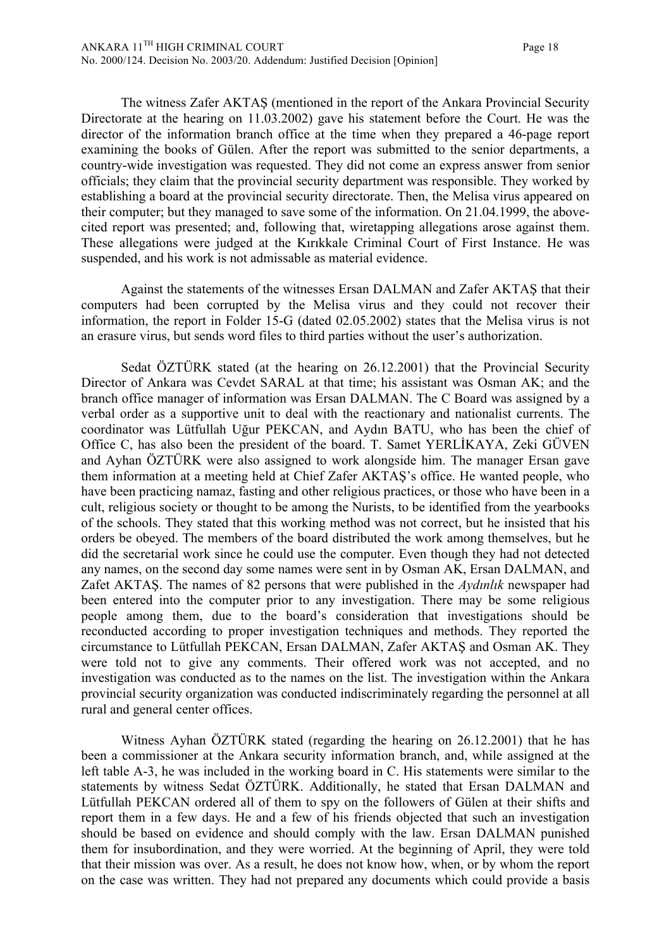The witness Zafer AKTAŞ (mentioned in the report of the Ankara Provincial Security Directorate at the hearing on 11.03.2002) gave his statement before the Court. He was the director of the information branch office at the time when they prepared a 46-page report examining the books of Gülen. After the report was submitted to the senior departments, a country-wide investigation was requested. They did not come an express answer from senior officials; they claim that the provincial security department was responsible. They worked by establishing a board at the provincial security directorate. Then, the Melisa virus appeared on their computer; but they managed to save some of the information. On 21.04.1999, the abovecited report was presented; and, following that, wiretapping allegations arose against them. These allegations were judged at the Kırıkkale Criminal Court of First Instance. He was suspended, and his work is not admissable as material evidence.

Against the statements of the witnesses Ersan DALMAN and Zafer AKTAŞ that their computers had been corrupted by the Melisa virus and they could not recover their information, the report in Folder 15-G (dated 02.05.2002) states that the Melisa virus is not an erasure virus, but sends word files to third parties without the user's authorization.

Sedat ÖZTÜRK stated (at the hearing on 26.12.2001) that the Provincial Security Director of Ankara was Cevdet SARAL at that time; his assistant was Osman AK; and the branch office manager of information was Ersan DALMAN. The C Board was assigned by a verbal order as a supportive unit to deal with the reactionary and nationalist currents. The coordinator was Lütfullah Uğur PEKCAN, and Aydın BATU, who has been the chief of Office C, has also been the president of the board. T. Samet YERLİKAYA, Zeki GÜVEN and Ayhan ÖZTÜRK were also assigned to work alongside him. The manager Ersan gave them information at a meeting held at Chief Zafer AKTAŞ's office. He wanted people, who have been practicing namaz, fasting and other religious practices, or those who have been in a cult, religious society or thought to be among the Nurists, to be identified from the yearbooks of the schools. They stated that this working method was not correct, but he insisted that his orders be obeyed. The members of the board distributed the work among themselves, but he did the secretarial work since he could use the computer. Even though they had not detected any names, on the second day some names were sent in by Osman AK, Ersan DALMAN, and Zafet AKTAŞ. The names of 82 persons that were published in the *Aydınlık* newspaper had been entered into the computer prior to any investigation. There may be some religious people among them, due to the board's consideration that investigations should be reconducted according to proper investigation techniques and methods. They reported the circumstance to Lütfullah PEKCAN, Ersan DALMAN, Zafer AKTAŞ and Osman AK. They were told not to give any comments. Their offered work was not accepted, and no investigation was conducted as to the names on the list. The investigation within the Ankara provincial security organization was conducted indiscriminately regarding the personnel at all rural and general center offices.

Witness Ayhan ÖZTÜRK stated (regarding the hearing on 26.12.2001) that he has been a commissioner at the Ankara security information branch, and, while assigned at the left table A-3, he was included in the working board in C. His statements were similar to the statements by witness Sedat ÖZTÜRK. Additionally, he stated that Ersan DALMAN and Lütfullah PEKCAN ordered all of them to spy on the followers of Gülen at their shifts and report them in a few days. He and a few of his friends objected that such an investigation should be based on evidence and should comply with the law. Ersan DALMAN punished them for insubordination, and they were worried. At the beginning of April, they were told that their mission was over. As a result, he does not know how, when, or by whom the report on the case was written. They had not prepared any documents which could provide a basis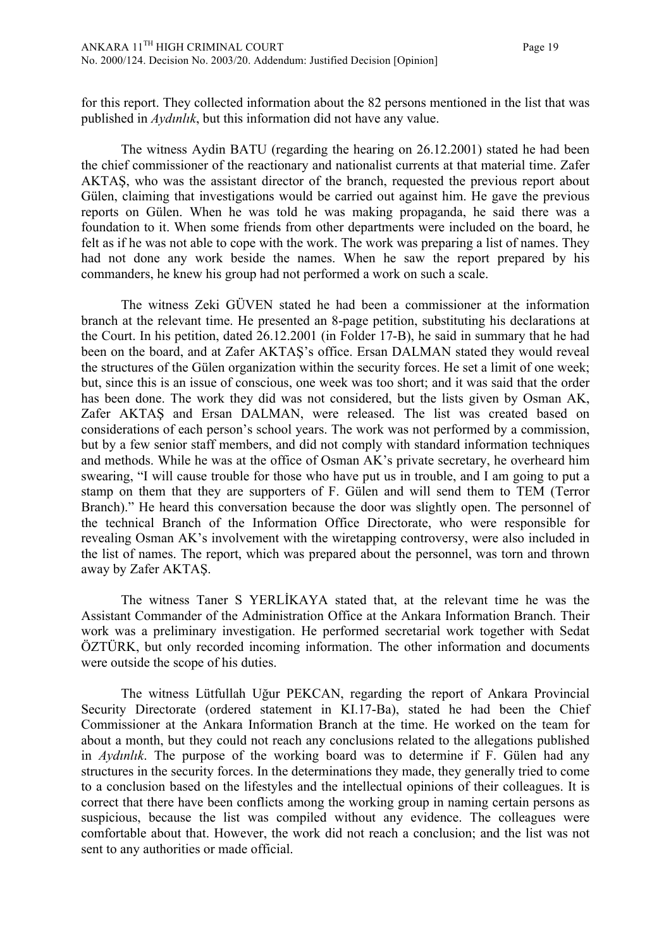for this report. They collected information about the 82 persons mentioned in the list that was published in *Aydınlık*, but this information did not have any value.

The witness Aydin BATU (regarding the hearing on 26.12.2001) stated he had been the chief commissioner of the reactionary and nationalist currents at that material time. Zafer AKTAŞ, who was the assistant director of the branch, requested the previous report about Gülen, claiming that investigations would be carried out against him. He gave the previous reports on Gülen. When he was told he was making propaganda, he said there was a foundation to it. When some friends from other departments were included on the board, he felt as if he was not able to cope with the work. The work was preparing a list of names. They had not done any work beside the names. When he saw the report prepared by his commanders, he knew his group had not performed a work on such a scale.

The witness Zeki GÜVEN stated he had been a commissioner at the information branch at the relevant time. He presented an 8-page petition, substituting his declarations at the Court. In his petition, dated 26.12.2001 (in Folder 17-B), he said in summary that he had been on the board, and at Zafer AKTAŞ's office. Ersan DALMAN stated they would reveal the structures of the Gülen organization within the security forces. He set a limit of one week; but, since this is an issue of conscious, one week was too short; and it was said that the order has been done. The work they did was not considered, but the lists given by Osman AK, Zafer AKTAŞ and Ersan DALMAN, were released. The list was created based on considerations of each person's school years. The work was not performed by a commission, but by a few senior staff members, and did not comply with standard information techniques and methods. While he was at the office of Osman AK's private secretary, he overheard him swearing, "I will cause trouble for those who have put us in trouble, and I am going to put a stamp on them that they are supporters of F. Gülen and will send them to TEM (Terror Branch)." He heard this conversation because the door was slightly open. The personnel of the technical Branch of the Information Office Directorate, who were responsible for revealing Osman AK's involvement with the wiretapping controversy, were also included in the list of names. The report, which was prepared about the personnel, was torn and thrown away by Zafer AKTAŞ.

The witness Taner S YERLİKAYA stated that, at the relevant time he was the Assistant Commander of the Administration Office at the Ankara Information Branch. Their work was a preliminary investigation. He performed secretarial work together with Sedat ÖZTÜRK, but only recorded incoming information. The other information and documents were outside the scope of his duties.

The witness Lütfullah Uğur PEKCAN, regarding the report of Ankara Provincial Security Directorate (ordered statement in KI.17-Ba), stated he had been the Chief Commissioner at the Ankara Information Branch at the time. He worked on the team for about a month, but they could not reach any conclusions related to the allegations published in *Aydınlık*. The purpose of the working board was to determine if F. Gülen had any structures in the security forces. In the determinations they made, they generally tried to come to a conclusion based on the lifestyles and the intellectual opinions of their colleagues. It is correct that there have been conflicts among the working group in naming certain persons as suspicious, because the list was compiled without any evidence. The colleagues were comfortable about that. However, the work did not reach a conclusion; and the list was not sent to any authorities or made official.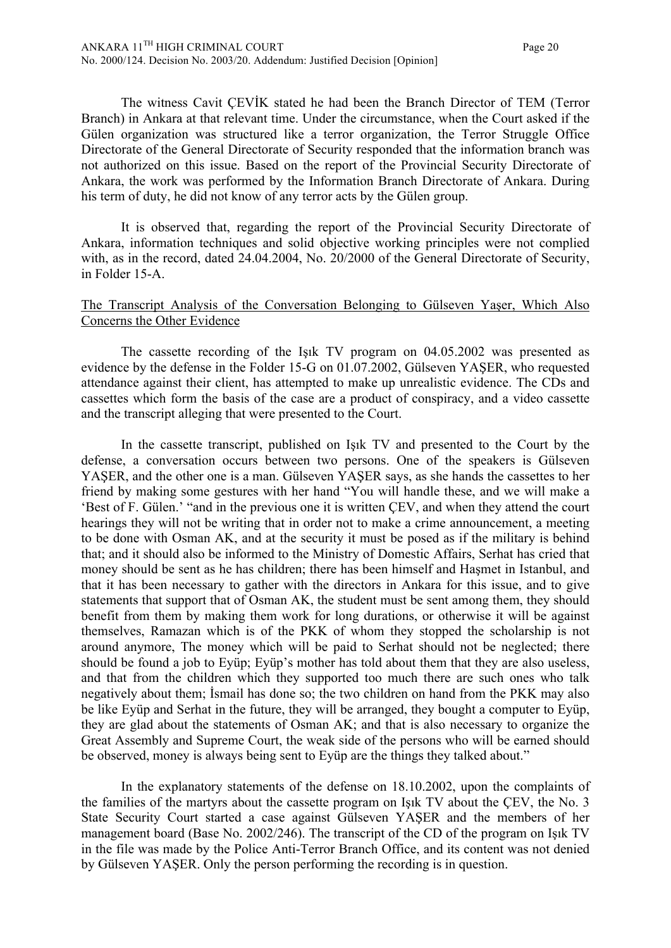The witness Cavit ÇEVİK stated he had been the Branch Director of TEM (Terror Branch) in Ankara at that relevant time. Under the circumstance, when the Court asked if the Gülen organization was structured like a terror organization, the Terror Struggle Office Directorate of the General Directorate of Security responded that the information branch was not authorized on this issue. Based on the report of the Provincial Security Directorate of Ankara, the work was performed by the Information Branch Directorate of Ankara. During his term of duty, he did not know of any terror acts by the Gülen group.

It is observed that, regarding the report of the Provincial Security Directorate of Ankara, information techniques and solid objective working principles were not complied with, as in the record, dated 24.04.2004, No. 20/2000 of the General Directorate of Security, in Folder 15-A.

## The Transcript Analysis of the Conversation Belonging to Gülseven Yaşer, Which Also Concerns the Other Evidence

The cassette recording of the Işık TV program on 04.05.2002 was presented as evidence by the defense in the Folder 15-G on 01.07.2002, Gülseven YAŞER, who requested attendance against their client, has attempted to make up unrealistic evidence. The CDs and cassettes which form the basis of the case are a product of conspiracy, and a video cassette and the transcript alleging that were presented to the Court.

In the cassette transcript, published on Işık TV and presented to the Court by the defense, a conversation occurs between two persons. One of the speakers is Gülseven YAŞER, and the other one is a man. Gülseven YAŞER says, as she hands the cassettes to her friend by making some gestures with her hand "You will handle these, and we will make a 'Best of F. Gülen.' "and in the previous one it is written ÇEV, and when they attend the court hearings they will not be writing that in order not to make a crime announcement, a meeting to be done with Osman AK, and at the security it must be posed as if the military is behind that; and it should also be informed to the Ministry of Domestic Affairs, Serhat has cried that money should be sent as he has children; there has been himself and Haşmet in Istanbul, and that it has been necessary to gather with the directors in Ankara for this issue, and to give statements that support that of Osman AK, the student must be sent among them, they should benefit from them by making them work for long durations, or otherwise it will be against themselves, Ramazan which is of the PKK of whom they stopped the scholarship is not around anymore, The money which will be paid to Serhat should not be neglected; there should be found a job to Eyüp; Eyüp's mother has told about them that they are also useless, and that from the children which they supported too much there are such ones who talk negatively about them; İsmail has done so; the two children on hand from the PKK may also be like Eyüp and Serhat in the future, they will be arranged, they bought a computer to Eyüp, they are glad about the statements of Osman AK; and that is also necessary to organize the Great Assembly and Supreme Court, the weak side of the persons who will be earned should be observed, money is always being sent to Eyüp are the things they talked about."

In the explanatory statements of the defense on 18.10.2002, upon the complaints of the families of the martyrs about the cassette program on Işık TV about the ÇEV, the No. 3 State Security Court started a case against Gülseven YAŞER and the members of her management board (Base No. 2002/246). The transcript of the CD of the program on Işık TV in the file was made by the Police Anti-Terror Branch Office, and its content was not denied by Gülseven YAŞER. Only the person performing the recording is in question.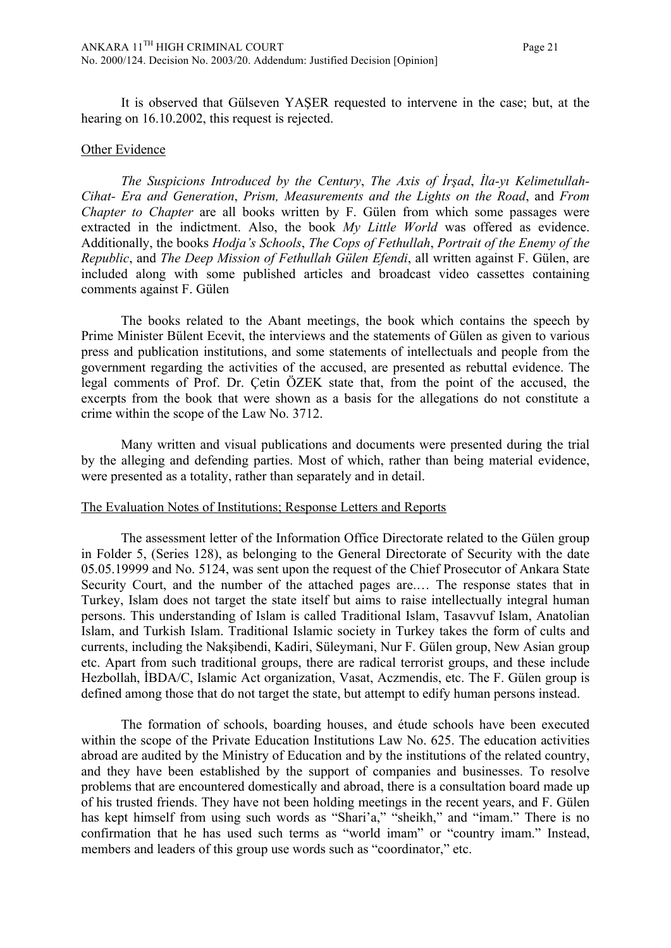It is observed that Gülseven YAŞER requested to intervene in the case; but, at the hearing on 16.10.2002, this request is rejected.

#### Other Evidence

*The Suspicions Introduced by the Century*, *The Axis of İrşad*, *İla-yı Kelimetullah-Cihat- Era and Generation*, *Prism, Measurements and the Lights on the Road*, and *From Chapter to Chapter* are all books written by F. Gülen from which some passages were extracted in the indictment. Also, the book *My Little World* was offered as evidence. Additionally, the books *Hodja's Schools*, *The Cops of Fethullah*, *Portrait of the Enemy of the Republic*, and *The Deep Mission of Fethullah Gülen Efendi*, all written against F. Gülen, are included along with some published articles and broadcast video cassettes containing comments against F. Gülen

The books related to the Abant meetings, the book which contains the speech by Prime Minister Bülent Ecevit, the interviews and the statements of Gülen as given to various press and publication institutions, and some statements of intellectuals and people from the government regarding the activities of the accused, are presented as rebuttal evidence. The legal comments of Prof. Dr. Çetin ÖZEK state that, from the point of the accused, the excerpts from the book that were shown as a basis for the allegations do not constitute a crime within the scope of the Law No. 3712.

Many written and visual publications and documents were presented during the trial by the alleging and defending parties. Most of which, rather than being material evidence, were presented as a totality, rather than separately and in detail.

#### The Evaluation Notes of Institutions; Response Letters and Reports

The assessment letter of the Information Office Directorate related to the Gülen group in Folder 5, (Series 128), as belonging to the General Directorate of Security with the date 05.05.19999 and No. 5124, was sent upon the request of the Chief Prosecutor of Ankara State Security Court, and the number of the attached pages are.… The response states that in Turkey, Islam does not target the state itself but aims to raise intellectually integral human persons. This understanding of Islam is called Traditional Islam, Tasavvuf Islam, Anatolian Islam, and Turkish Islam. Traditional Islamic society in Turkey takes the form of cults and currents, including the Nakşibendi, Kadiri, Süleymani, Nur F. Gülen group, New Asian group etc. Apart from such traditional groups, there are radical terrorist groups, and these include Hezbollah, İBDA/C, Islamic Act organization, Vasat, Aczmendis, etc. The F. Gülen group is defined among those that do not target the state, but attempt to edify human persons instead.

The formation of schools, boarding houses, and étude schools have been executed within the scope of the Private Education Institutions Law No. 625. The education activities abroad are audited by the Ministry of Education and by the institutions of the related country, and they have been established by the support of companies and businesses. To resolve problems that are encountered domestically and abroad, there is a consultation board made up of his trusted friends. They have not been holding meetings in the recent years, and F. Gülen has kept himself from using such words as "Shari'a," "sheikh," and "imam." There is no confirmation that he has used such terms as "world imam" or "country imam." Instead, members and leaders of this group use words such as "coordinator," etc.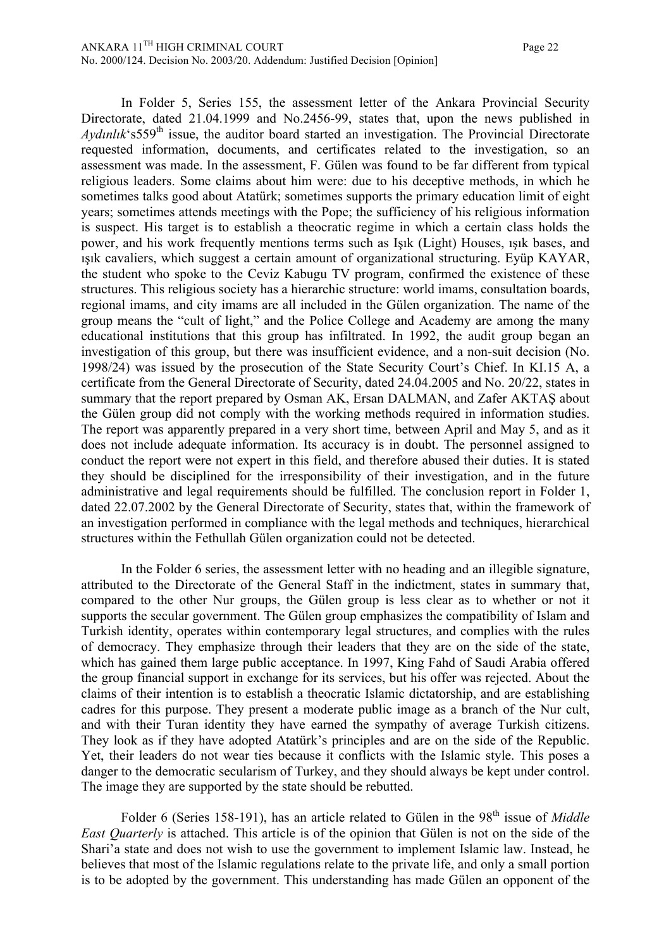In Folder 5, Series 155, the assessment letter of the Ankara Provincial Security Directorate, dated 21.04.1999 and No.2456-99, states that, upon the news published in *Aydınlık*<sup>'</sup>s559<sup>th</sup> issue, the auditor board started an investigation. The Provincial Directorate requested information, documents, and certificates related to the investigation, so an assessment was made. In the assessment, F. Gülen was found to be far different from typical religious leaders. Some claims about him were: due to his deceptive methods, in which he sometimes talks good about Atatürk; sometimes supports the primary education limit of eight years; sometimes attends meetings with the Pope; the sufficiency of his religious information is suspect. His target is to establish a theocratic regime in which a certain class holds the power, and his work frequently mentions terms such as Işık (Light) Houses, ışık bases, and ışık cavaliers, which suggest a certain amount of organizational structuring. Eyüp KAYAR, the student who spoke to the Ceviz Kabugu TV program, confirmed the existence of these structures. This religious society has a hierarchic structure: world imams, consultation boards, regional imams, and city imams are all included in the Gülen organization. The name of the group means the "cult of light," and the Police College and Academy are among the many educational institutions that this group has infiltrated. In 1992, the audit group began an investigation of this group, but there was insufficient evidence, and a non-suit decision (No. 1998/24) was issued by the prosecution of the State Security Court's Chief. In KI.15 A, a certificate from the General Directorate of Security, dated 24.04.2005 and No. 20/22, states in summary that the report prepared by Osman AK, Ersan DALMAN, and Zafer AKTAŞ about the Gülen group did not comply with the working methods required in information studies. The report was apparently prepared in a very short time, between April and May 5, and as it does not include adequate information. Its accuracy is in doubt. The personnel assigned to conduct the report were not expert in this field, and therefore abused their duties. It is stated they should be disciplined for the irresponsibility of their investigation, and in the future administrative and legal requirements should be fulfilled. The conclusion report in Folder 1, dated 22.07.2002 by the General Directorate of Security, states that, within the framework of an investigation performed in compliance with the legal methods and techniques, hierarchical structures within the Fethullah Gülen organization could not be detected.

In the Folder 6 series, the assessment letter with no heading and an illegible signature, attributed to the Directorate of the General Staff in the indictment, states in summary that, compared to the other Nur groups, the Gülen group is less clear as to whether or not it supports the secular government. The Gülen group emphasizes the compatibility of Islam and Turkish identity, operates within contemporary legal structures, and complies with the rules of democracy. They emphasize through their leaders that they are on the side of the state, which has gained them large public acceptance. In 1997, King Fahd of Saudi Arabia offered the group financial support in exchange for its services, but his offer was rejected. About the claims of their intention is to establish a theocratic Islamic dictatorship, and are establishing cadres for this purpose. They present a moderate public image as a branch of the Nur cult, and with their Turan identity they have earned the sympathy of average Turkish citizens. They look as if they have adopted Atatürk's principles and are on the side of the Republic. Yet, their leaders do not wear ties because it conflicts with the Islamic style. This poses a danger to the democratic secularism of Turkey, and they should always be kept under control. The image they are supported by the state should be rebutted.

Folder 6 (Series 158-191), has an article related to Gülen in the 98<sup>th</sup> issue of *Middle East Quarterly* is attached. This article is of the opinion that Gülen is not on the side of the Shari'a state and does not wish to use the government to implement Islamic law. Instead, he believes that most of the Islamic regulations relate to the private life, and only a small portion is to be adopted by the government. This understanding has made Gülen an opponent of the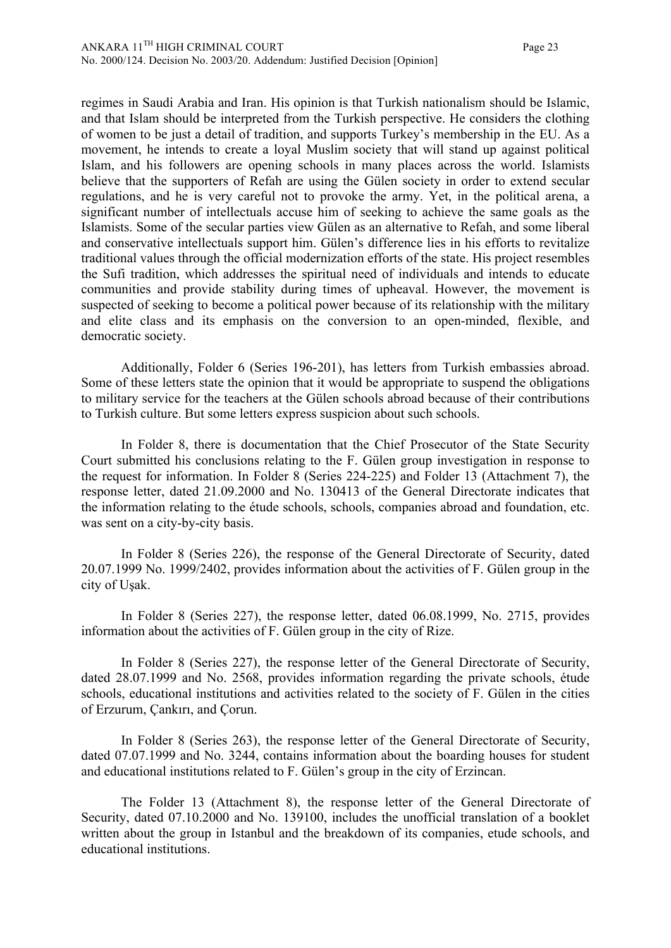regimes in Saudi Arabia and Iran. His opinion is that Turkish nationalism should be Islamic, and that Islam should be interpreted from the Turkish perspective. He considers the clothing of women to be just a detail of tradition, and supports Turkey's membership in the EU. As a movement, he intends to create a loyal Muslim society that will stand up against political Islam, and his followers are opening schools in many places across the world. Islamists believe that the supporters of Refah are using the Gülen society in order to extend secular regulations, and he is very careful not to provoke the army. Yet, in the political arena, a significant number of intellectuals accuse him of seeking to achieve the same goals as the Islamists. Some of the secular parties view Gülen as an alternative to Refah, and some liberal and conservative intellectuals support him. Gülen's difference lies in his efforts to revitalize traditional values through the official modernization efforts of the state. His project resembles the Sufi tradition, which addresses the spiritual need of individuals and intends to educate communities and provide stability during times of upheaval. However, the movement is suspected of seeking to become a political power because of its relationship with the military and elite class and its emphasis on the conversion to an open-minded, flexible, and democratic society.

Additionally, Folder 6 (Series 196-201), has letters from Turkish embassies abroad. Some of these letters state the opinion that it would be appropriate to suspend the obligations to military service for the teachers at the Gülen schools abroad because of their contributions to Turkish culture. But some letters express suspicion about such schools.

In Folder 8, there is documentation that the Chief Prosecutor of the State Security Court submitted his conclusions relating to the F. Gülen group investigation in response to the request for information. In Folder 8 (Series 224-225) and Folder 13 (Attachment 7), the response letter, dated 21.09.2000 and No. 130413 of the General Directorate indicates that the information relating to the étude schools, schools, companies abroad and foundation, etc. was sent on a city-by-city basis.

In Folder 8 (Series 226), the response of the General Directorate of Security, dated 20.07.1999 No. 1999/2402, provides information about the activities of F. Gülen group in the city of Uşak.

In Folder 8 (Series 227), the response letter, dated 06.08.1999, No. 2715, provides information about the activities of F. Gülen group in the city of Rize.

In Folder 8 (Series 227), the response letter of the General Directorate of Security, dated 28.07.1999 and No. 2568, provides information regarding the private schools, étude schools, educational institutions and activities related to the society of F. Gülen in the cities of Erzurum, Çankırı, and Çorun.

In Folder 8 (Series 263), the response letter of the General Directorate of Security, dated 07.07.1999 and No. 3244, contains information about the boarding houses for student and educational institutions related to F. Gülen's group in the city of Erzincan.

The Folder 13 (Attachment 8), the response letter of the General Directorate of Security, dated 07.10.2000 and No. 139100, includes the unofficial translation of a booklet written about the group in Istanbul and the breakdown of its companies, etude schools, and educational institutions.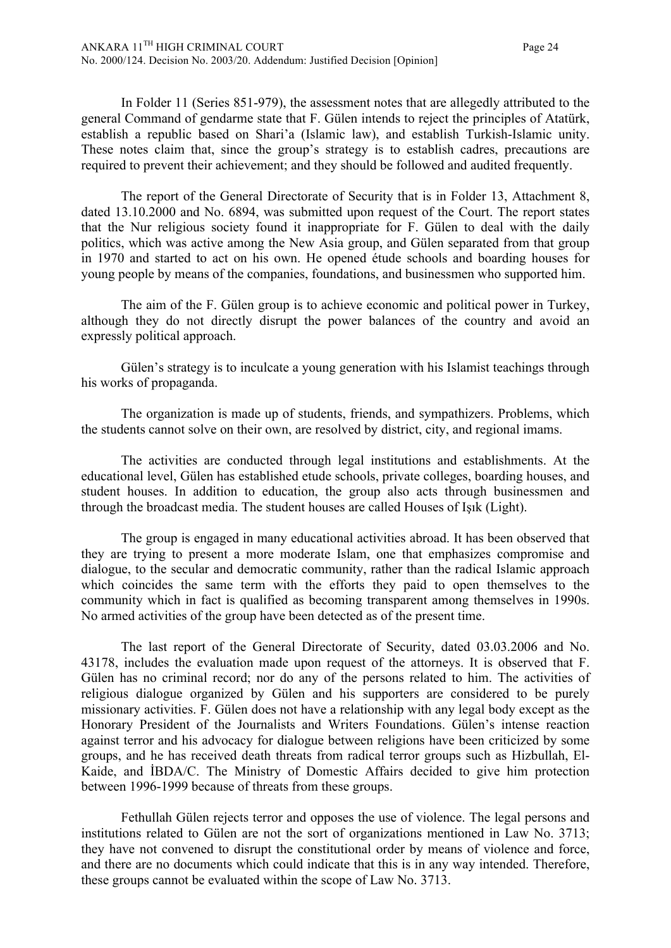In Folder 11 (Series 851-979), the assessment notes that are allegedly attributed to the general Command of gendarme state that F. Gülen intends to reject the principles of Atatürk, establish a republic based on Shari'a (Islamic law), and establish Turkish-Islamic unity. These notes claim that, since the group's strategy is to establish cadres, precautions are required to prevent their achievement; and they should be followed and audited frequently.

The report of the General Directorate of Security that is in Folder 13, Attachment 8, dated 13.10.2000 and No. 6894, was submitted upon request of the Court. The report states that the Nur religious society found it inappropriate for F. Gülen to deal with the daily politics, which was active among the New Asia group, and Gülen separated from that group in 1970 and started to act on his own. He opened étude schools and boarding houses for young people by means of the companies, foundations, and businessmen who supported him.

The aim of the F. Gülen group is to achieve economic and political power in Turkey, although they do not directly disrupt the power balances of the country and avoid an expressly political approach.

Gülen's strategy is to inculcate a young generation with his Islamist teachings through his works of propaganda.

The organization is made up of students, friends, and sympathizers. Problems, which the students cannot solve on their own, are resolved by district, city, and regional imams.

The activities are conducted through legal institutions and establishments. At the educational level, Gülen has established etude schools, private colleges, boarding houses, and student houses. In addition to education, the group also acts through businessmen and through the broadcast media. The student houses are called Houses of Işık (Light).

The group is engaged in many educational activities abroad. It has been observed that they are trying to present a more moderate Islam, one that emphasizes compromise and dialogue, to the secular and democratic community, rather than the radical Islamic approach which coincides the same term with the efforts they paid to open themselves to the community which in fact is qualified as becoming transparent among themselves in 1990s. No armed activities of the group have been detected as of the present time.

The last report of the General Directorate of Security, dated 03.03.2006 and No. 43178, includes the evaluation made upon request of the attorneys. It is observed that F. Gülen has no criminal record; nor do any of the persons related to him. The activities of religious dialogue organized by Gülen and his supporters are considered to be purely missionary activities. F. Gülen does not have a relationship with any legal body except as the Honorary President of the Journalists and Writers Foundations. Gülen's intense reaction against terror and his advocacy for dialogue between religions have been criticized by some groups, and he has received death threats from radical terror groups such as Hizbullah, El-Kaide, and İBDA/C. The Ministry of Domestic Affairs decided to give him protection between 1996-1999 because of threats from these groups.

Fethullah Gülen rejects terror and opposes the use of violence. The legal persons and institutions related to Gülen are not the sort of organizations mentioned in Law No. 3713; they have not convened to disrupt the constitutional order by means of violence and force, and there are no documents which could indicate that this is in any way intended. Therefore, these groups cannot be evaluated within the scope of Law No. 3713.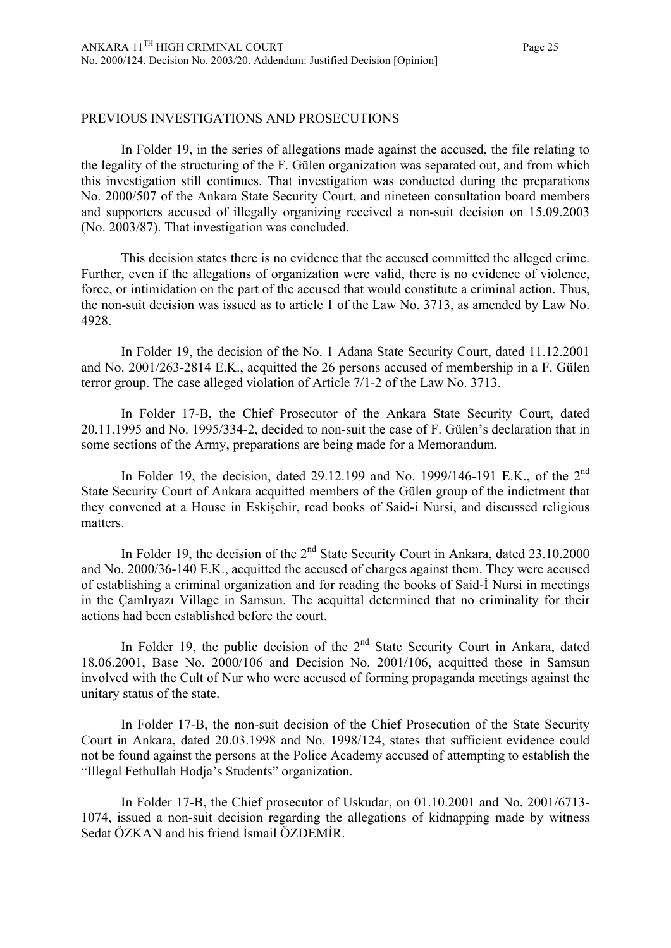## PREVIOUS INVESTIGATIONS AND PROSECUTIONS

In Folder 19, in the series of allegations made against the accused, the file relating to the legality of the structuring of the F. Gülen organization was separated out, and from which this investigation still continues. That investigation was conducted during the preparations No. 2000/507 of the Ankara State Security Court, and nineteen consultation board members and supporters accused of illegally organizing received a non-suit decision on 15.09.2003 (No. 2003/87). That investigation was concluded.

This decision states there is no evidence that the accused committed the alleged crime. Further, even if the allegations of organization were valid, there is no evidence of violence, force, or intimidation on the part of the accused that would constitute a criminal action. Thus, the non-suit decision was issued as to article 1 of the Law No. 3713, as amended by Law No. 4928.

In Folder 19, the decision of the No. 1 Adana State Security Court, dated 11.12.2001 and No. 2001/263-2814 E.K., acquitted the 26 persons accused of membership in a F. Gülen terror group. The case alleged violation of Article 7/1-2 of the Law No. 3713.

In Folder 17-B, the Chief Prosecutor of the Ankara State Security Court, dated 20.11.1995 and No. 1995/334-2, decided to non-suit the case of F. Gülen's declaration that in some sections of the Army, preparations are being made for a Memorandum.

In Folder 19, the decision, dated 29.12.199 and No. 1999/146-191 E.K., of the 2<sup>nd</sup> State Security Court of Ankara acquitted members of the Gülen group of the indictment that they convened at a House in Eskişehir, read books of Said-i Nursi, and discussed religious matters.

In Folder 19, the decision of the  $2<sup>nd</sup>$  State Security Court in Ankara, dated 23.10.2000 and No. 2000/36-140 E.K., acquitted the accused of charges against them. They were accused of establishing a criminal organization and for reading the books of Said-İ Nursi in meetings in the Çamlıyazı Village in Samsun. The acquittal determined that no criminality for their actions had been established before the court.

In Folder 19, the public decision of the  $2<sup>nd</sup>$  State Security Court in Ankara, dated 18.06.2001, Base No. 2000/106 and Decision No. 2001/106, acquitted those in Samsun involved with the Cult of Nur who were accused of forming propaganda meetings against the unitary status of the state.

In Folder 17-B, the non-suit decision of the Chief Prosecution of the State Security Court in Ankara, dated 20.03.1998 and No. 1998/124, states that sufficient evidence could not be found against the persons at the Police Academy accused of attempting to establish the "Illegal Fethullah Hodja's Students" organization.

In Folder 17-B, the Chief prosecutor of Uskudar, on 01.10.2001 and No. 2001/6713- 1074, issued a non-suit decision regarding the allegations of kidnapping made by witness Sedat ÖZKAN and his friend İsmail ÖZDEMİR.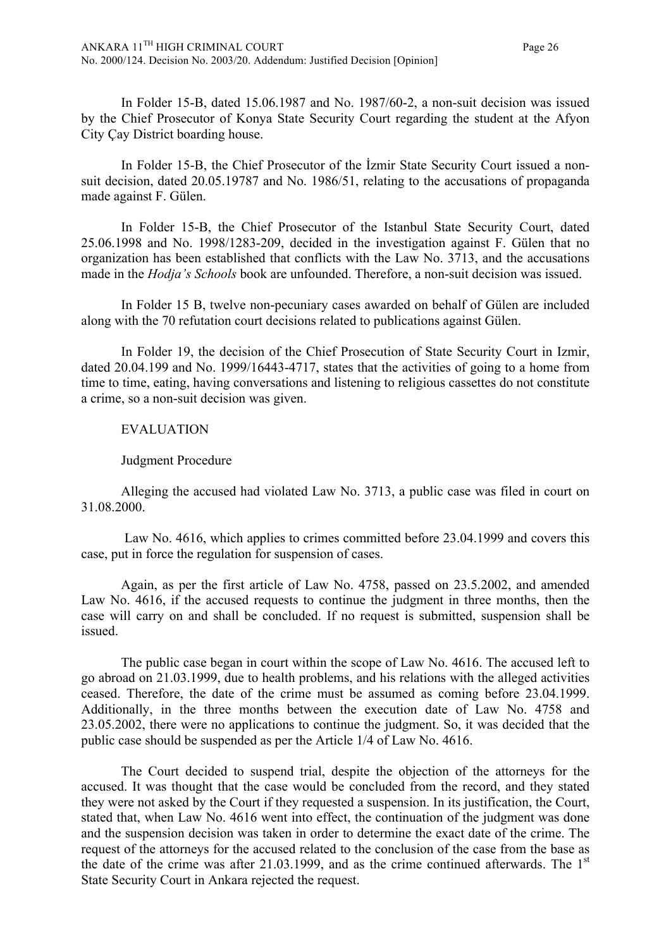In Folder 15-B, dated 15.06.1987 and No. 1987/60-2, a non-suit decision was issued by the Chief Prosecutor of Konya State Security Court regarding the student at the Afyon City Çay District boarding house.

In Folder 15-B, the Chief Prosecutor of the İzmir State Security Court issued a nonsuit decision, dated 20.05.19787 and No. 1986/51, relating to the accusations of propaganda made against F. Gülen.

In Folder 15-B, the Chief Prosecutor of the Istanbul State Security Court, dated 25.06.1998 and No. 1998/1283-209, decided in the investigation against F. Gülen that no organization has been established that conflicts with the Law No. 3713, and the accusations made in the *Hodja's Schools* book are unfounded. Therefore, a non-suit decision was issued.

In Folder 15 B, twelve non-pecuniary cases awarded on behalf of Gülen are included along with the 70 refutation court decisions related to publications against Gülen.

In Folder 19, the decision of the Chief Prosecution of State Security Court in Izmir, dated 20.04.199 and No. 1999/16443-4717, states that the activities of going to a home from time to time, eating, having conversations and listening to religious cassettes do not constitute a crime, so a non-suit decision was given.

## EVALUATION

# Judgment Procedure

Alleging the accused had violated Law No. 3713, a public case was filed in court on 31.08.2000.

Law No. 4616, which applies to crimes committed before 23.04.1999 and covers this case, put in force the regulation for suspension of cases.

Again, as per the first article of Law No. 4758, passed on 23.5.2002, and amended Law No. 4616, if the accused requests to continue the judgment in three months, then the case will carry on and shall be concluded. If no request is submitted, suspension shall be issued.

The public case began in court within the scope of Law No. 4616. The accused left to go abroad on 21.03.1999, due to health problems, and his relations with the alleged activities ceased. Therefore, the date of the crime must be assumed as coming before 23.04.1999. Additionally, in the three months between the execution date of Law No. 4758 and 23.05.2002, there were no applications to continue the judgment. So, it was decided that the public case should be suspended as per the Article 1/4 of Law No. 4616.

The Court decided to suspend trial, despite the objection of the attorneys for the accused. It was thought that the case would be concluded from the record, and they stated they were not asked by the Court if they requested a suspension. In its justification, the Court, stated that, when Law No. 4616 went into effect, the continuation of the judgment was done and the suspension decision was taken in order to determine the exact date of the crime. The request of the attorneys for the accused related to the conclusion of the case from the base as the date of the crime was after  $21.03.1999$ , and as the crime continued afterwards. The  $1<sup>st</sup>$ State Security Court in Ankara rejected the request.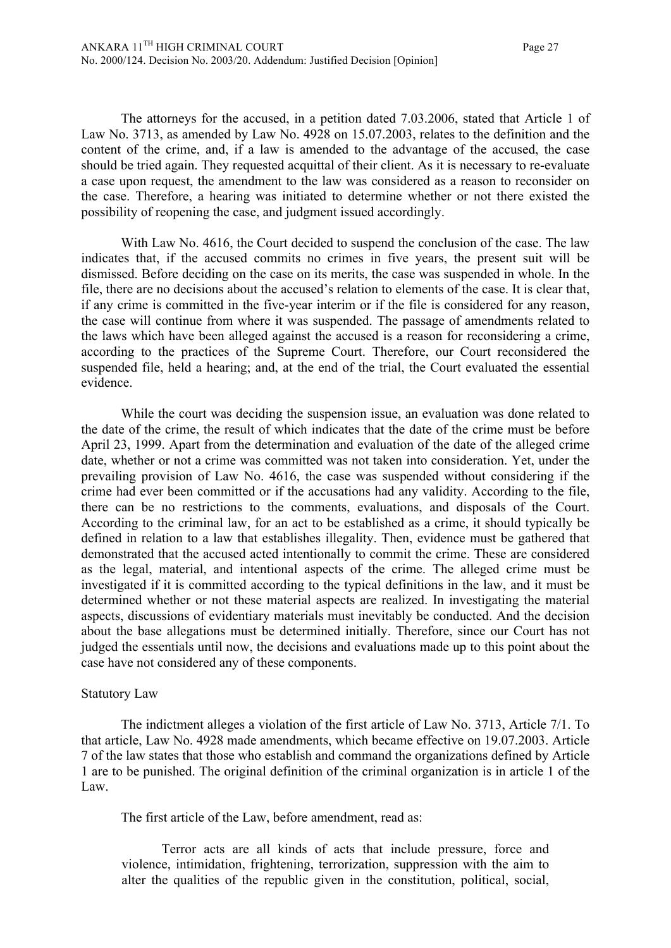The attorneys for the accused, in a petition dated 7.03.2006, stated that Article 1 of Law No. 3713, as amended by Law No. 4928 on 15.07.2003, relates to the definition and the content of the crime, and, if a law is amended to the advantage of the accused, the case should be tried again. They requested acquittal of their client. As it is necessary to re-evaluate a case upon request, the amendment to the law was considered as a reason to reconsider on the case. Therefore, a hearing was initiated to determine whether or not there existed the possibility of reopening the case, and judgment issued accordingly.

With Law No. 4616, the Court decided to suspend the conclusion of the case. The law indicates that, if the accused commits no crimes in five years, the present suit will be dismissed. Before deciding on the case on its merits, the case was suspended in whole. In the file, there are no decisions about the accused's relation to elements of the case. It is clear that, if any crime is committed in the five-year interim or if the file is considered for any reason, the case will continue from where it was suspended. The passage of amendments related to the laws which have been alleged against the accused is a reason for reconsidering a crime, according to the practices of the Supreme Court. Therefore, our Court reconsidered the suspended file, held a hearing; and, at the end of the trial, the Court evaluated the essential evidence.

While the court was deciding the suspension issue, an evaluation was done related to the date of the crime, the result of which indicates that the date of the crime must be before April 23, 1999. Apart from the determination and evaluation of the date of the alleged crime date, whether or not a crime was committed was not taken into consideration. Yet, under the prevailing provision of Law No. 4616, the case was suspended without considering if the crime had ever been committed or if the accusations had any validity. According to the file, there can be no restrictions to the comments, evaluations, and disposals of the Court. According to the criminal law, for an act to be established as a crime, it should typically be defined in relation to a law that establishes illegality. Then, evidence must be gathered that demonstrated that the accused acted intentionally to commit the crime. These are considered as the legal, material, and intentional aspects of the crime. The alleged crime must be investigated if it is committed according to the typical definitions in the law, and it must be determined whether or not these material aspects are realized. In investigating the material aspects, discussions of evidentiary materials must inevitably be conducted. And the decision about the base allegations must be determined initially. Therefore, since our Court has not judged the essentials until now, the decisions and evaluations made up to this point about the case have not considered any of these components.

## Statutory Law

The indictment alleges a violation of the first article of Law No. 3713, Article 7/1. To that article, Law No. 4928 made amendments, which became effective on 19.07.2003. Article 7 of the law states that those who establish and command the organizations defined by Article 1 are to be punished. The original definition of the criminal organization is in article 1 of the Law.

The first article of the Law, before amendment, read as:

Terror acts are all kinds of acts that include pressure, force and violence, intimidation, frightening, terrorization, suppression with the aim to alter the qualities of the republic given in the constitution, political, social,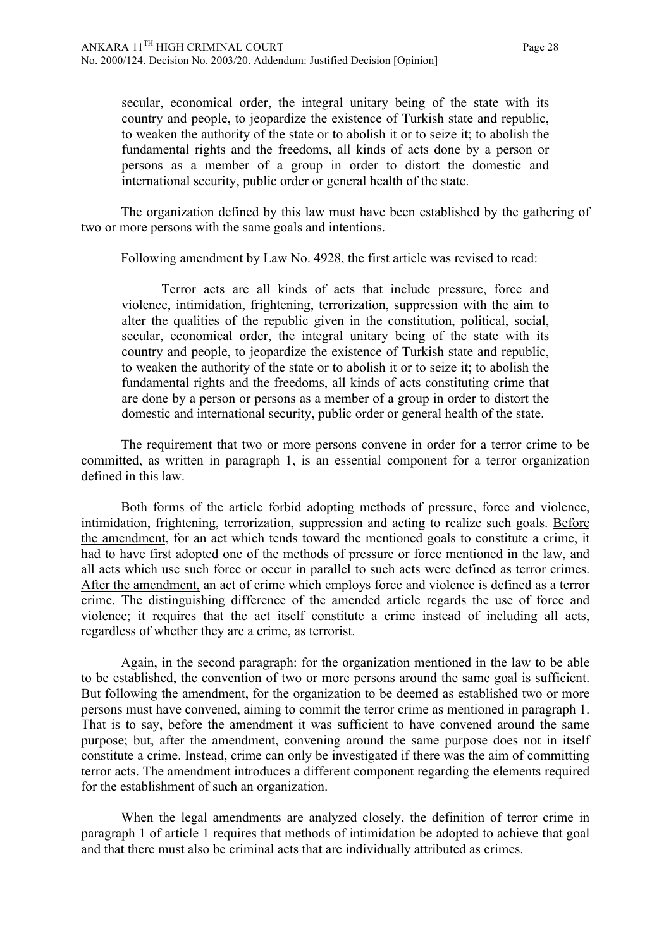secular, economical order, the integral unitary being of the state with its country and people, to jeopardize the existence of Turkish state and republic, to weaken the authority of the state or to abolish it or to seize it; to abolish the fundamental rights and the freedoms, all kinds of acts done by a person or persons as a member of a group in order to distort the domestic and international security, public order or general health of the state.

The organization defined by this law must have been established by the gathering of two or more persons with the same goals and intentions.

Following amendment by Law No. 4928, the first article was revised to read:

Terror acts are all kinds of acts that include pressure, force and violence, intimidation, frightening, terrorization, suppression with the aim to alter the qualities of the republic given in the constitution, political, social, secular, economical order, the integral unitary being of the state with its country and people, to jeopardize the existence of Turkish state and republic, to weaken the authority of the state or to abolish it or to seize it; to abolish the fundamental rights and the freedoms, all kinds of acts constituting crime that are done by a person or persons as a member of a group in order to distort the domestic and international security, public order or general health of the state.

The requirement that two or more persons convene in order for a terror crime to be committed, as written in paragraph 1, is an essential component for a terror organization defined in this law.

Both forms of the article forbid adopting methods of pressure, force and violence, intimidation, frightening, terrorization, suppression and acting to realize such goals. Before the amendment, for an act which tends toward the mentioned goals to constitute a crime, it had to have first adopted one of the methods of pressure or force mentioned in the law, and all acts which use such force or occur in parallel to such acts were defined as terror crimes. After the amendment, an act of crime which employs force and violence is defined as a terror crime. The distinguishing difference of the amended article regards the use of force and violence; it requires that the act itself constitute a crime instead of including all acts, regardless of whether they are a crime, as terrorist.

Again, in the second paragraph: for the organization mentioned in the law to be able to be established, the convention of two or more persons around the same goal is sufficient. But following the amendment, for the organization to be deemed as established two or more persons must have convened, aiming to commit the terror crime as mentioned in paragraph 1. That is to say, before the amendment it was sufficient to have convened around the same purpose; but, after the amendment, convening around the same purpose does not in itself constitute a crime. Instead, crime can only be investigated if there was the aim of committing terror acts. The amendment introduces a different component regarding the elements required for the establishment of such an organization.

When the legal amendments are analyzed closely, the definition of terror crime in paragraph 1 of article 1 requires that methods of intimidation be adopted to achieve that goal and that there must also be criminal acts that are individually attributed as crimes.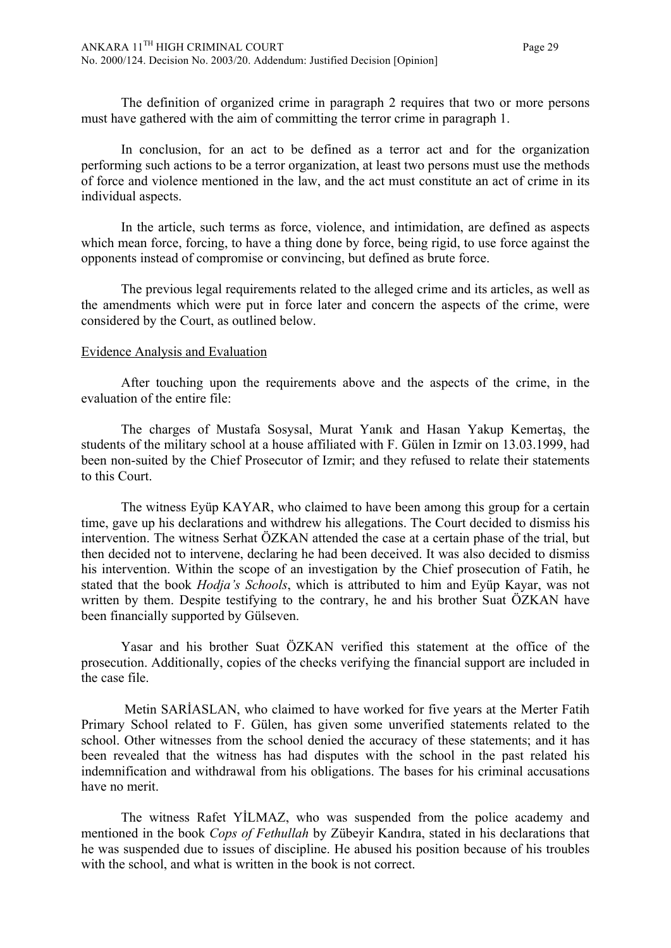The definition of organized crime in paragraph 2 requires that two or more persons must have gathered with the aim of committing the terror crime in paragraph 1.

In conclusion, for an act to be defined as a terror act and for the organization performing such actions to be a terror organization, at least two persons must use the methods of force and violence mentioned in the law, and the act must constitute an act of crime in its individual aspects.

In the article, such terms as force, violence, and intimidation, are defined as aspects which mean force, forcing, to have a thing done by force, being rigid, to use force against the opponents instead of compromise or convincing, but defined as brute force.

The previous legal requirements related to the alleged crime and its articles, as well as the amendments which were put in force later and concern the aspects of the crime, were considered by the Court, as outlined below.

#### Evidence Analysis and Evaluation

After touching upon the requirements above and the aspects of the crime, in the evaluation of the entire file:

The charges of Mustafa Sosysal, Murat Yanık and Hasan Yakup Kemertaş, the students of the military school at a house affiliated with F. Gülen in Izmir on 13.03.1999, had been non-suited by the Chief Prosecutor of Izmir; and they refused to relate their statements to this Court.

The witness Eyüp KAYAR, who claimed to have been among this group for a certain time, gave up his declarations and withdrew his allegations. The Court decided to dismiss his intervention. The witness Serhat ÖZKAN attended the case at a certain phase of the trial, but then decided not to intervene, declaring he had been deceived. It was also decided to dismiss his intervention. Within the scope of an investigation by the Chief prosecution of Fatih, he stated that the book *Hodja's Schools*, which is attributed to him and Eyüp Kayar, was not written by them. Despite testifying to the contrary, he and his brother Suat ÖZKAN have been financially supported by Gülseven.

Yasar and his brother Suat ÖZKAN verified this statement at the office of the prosecution. Additionally, copies of the checks verifying the financial support are included in the case file.

 Metin SARİASLAN, who claimed to have worked for five years at the Merter Fatih Primary School related to F. Gülen, has given some unverified statements related to the school. Other witnesses from the school denied the accuracy of these statements; and it has been revealed that the witness has had disputes with the school in the past related his indemnification and withdrawal from his obligations. The bases for his criminal accusations have no merit.

The witness Rafet YİLMAZ, who was suspended from the police academy and mentioned in the book *Cops of Fethullah* by Zübeyir Kandıra, stated in his declarations that he was suspended due to issues of discipline. He abused his position because of his troubles with the school, and what is written in the book is not correct.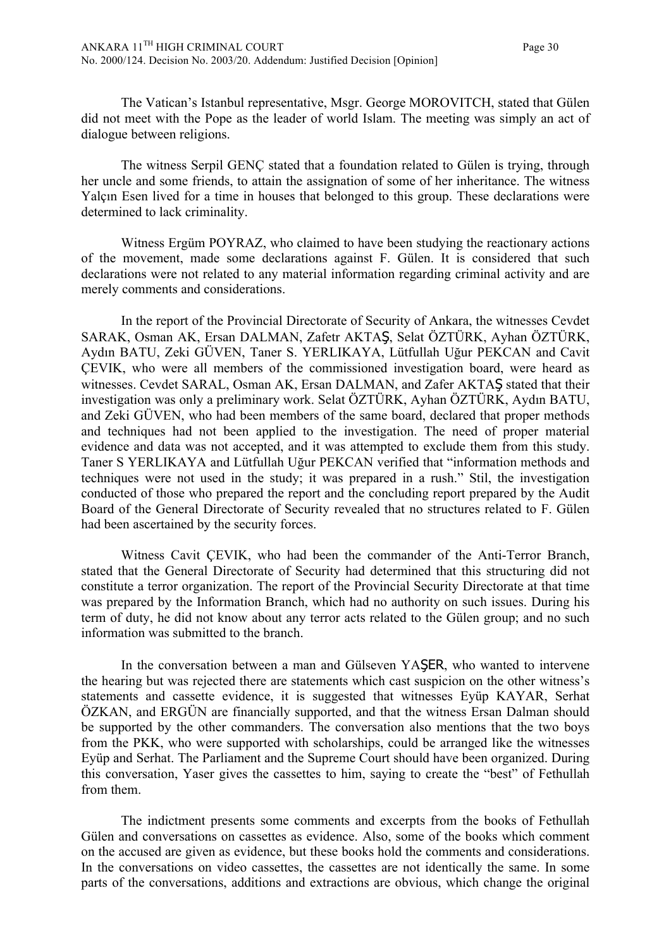The Vatican's Istanbul representative, Msgr. George MOROVITCH, stated that Gülen did not meet with the Pope as the leader of world Islam. The meeting was simply an act of dialogue between religions.

The witness Serpil GENÇ stated that a foundation related to Gülen is trying, through her uncle and some friends, to attain the assignation of some of her inheritance. The witness Yalçın Esen lived for a time in houses that belonged to this group. These declarations were determined to lack criminality.

Witness Ergüm POYRAZ, who claimed to have been studying the reactionary actions of the movement, made some declarations against F. Gülen. It is considered that such declarations were not related to any material information regarding criminal activity and are merely comments and considerations.

In the report of the Provincial Directorate of Security of Ankara, the witnesses Cevdet SARAK, Osman AK, Ersan DALMAN, Zafetr AKTAŞ, Selat ÖZTÜRK, Ayhan ÖZTÜRK, Aydın BATU, Zeki GÜVEN, Taner S. YERLIKAYA, Lütfullah Uğur PEKCAN and Cavit ÇEVIK, who were all members of the commissioned investigation board, were heard as witnesses. Cevdet SARAL, Osman AK, Ersan DALMAN, and Zafer AKTAŞ stated that their investigation was only a preliminary work. Selat ÖZTÜRK, Ayhan ÖZTÜRK, Aydın BATU, and Zeki GÜVEN, who had been members of the same board, declared that proper methods and techniques had not been applied to the investigation. The need of proper material evidence and data was not accepted, and it was attempted to exclude them from this study. Taner S YERLIKAYA and Lütfullah Uğur PEKCAN verified that "information methods and techniques were not used in the study; it was prepared in a rush." Stil, the investigation conducted of those who prepared the report and the concluding report prepared by the Audit Board of the General Directorate of Security revealed that no structures related to F. Gülen had been ascertained by the security forces.

Witness Cavit ÇEVIK, who had been the commander of the Anti-Terror Branch, stated that the General Directorate of Security had determined that this structuring did not constitute a terror organization. The report of the Provincial Security Directorate at that time was prepared by the Information Branch, which had no authority on such issues. During his term of duty, he did not know about any terror acts related to the Gülen group; and no such information was submitted to the branch.

In the conversation between a man and Gülseven YAŞER, who wanted to intervene the hearing but was rejected there are statements which cast suspicion on the other witness's statements and cassette evidence, it is suggested that witnesses Eyüp KAYAR, Serhat ÖZKAN, and ERGÜN are financially supported, and that the witness Ersan Dalman should be supported by the other commanders. The conversation also mentions that the two boys from the PKK, who were supported with scholarships, could be arranged like the witnesses Eyüp and Serhat. The Parliament and the Supreme Court should have been organized. During this conversation, Yaser gives the cassettes to him, saying to create the "best" of Fethullah from them.

The indictment presents some comments and excerpts from the books of Fethullah Gülen and conversations on cassettes as evidence. Also, some of the books which comment on the accused are given as evidence, but these books hold the comments and considerations. In the conversations on video cassettes, the cassettes are not identically the same. In some parts of the conversations, additions and extractions are obvious, which change the original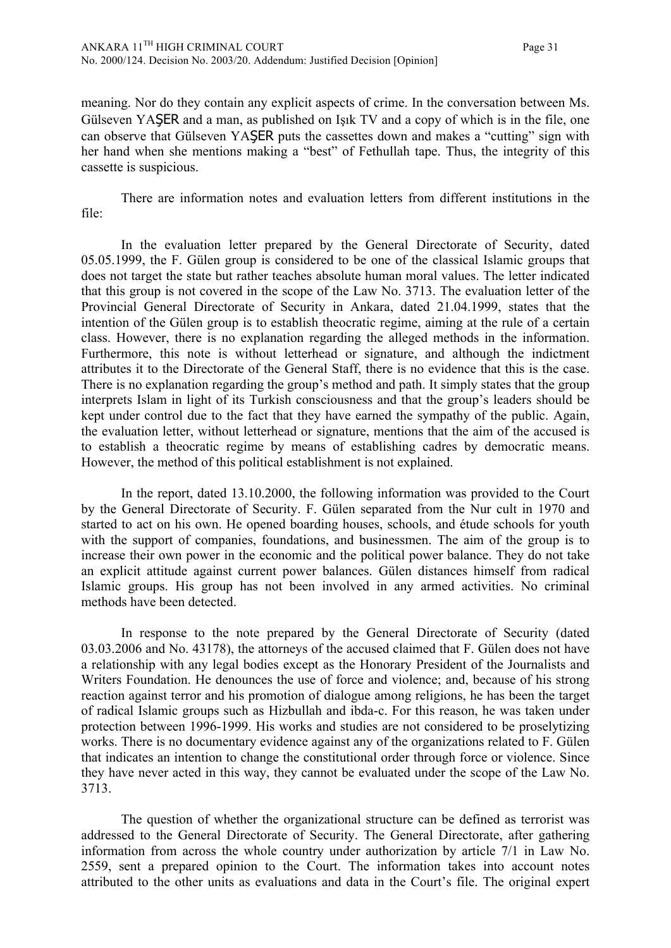meaning. Nor do they contain any explicit aspects of crime. In the conversation between Ms. Gülseven YAŞER and a man, as published on Işık TV and a copy of which is in the file, one can observe that Gülseven YAŞER puts the cassettes down and makes a "cutting" sign with her hand when she mentions making a "best" of Fethullah tape. Thus, the integrity of this cassette is suspicious.

There are information notes and evaluation letters from different institutions in the file:

In the evaluation letter prepared by the General Directorate of Security, dated 05.05.1999, the F. Gülen group is considered to be one of the classical Islamic groups that does not target the state but rather teaches absolute human moral values. The letter indicated that this group is not covered in the scope of the Law No. 3713. The evaluation letter of the Provincial General Directorate of Security in Ankara, dated 21.04.1999, states that the intention of the Gülen group is to establish theocratic regime, aiming at the rule of a certain class. However, there is no explanation regarding the alleged methods in the information. Furthermore, this note is without letterhead or signature, and although the indictment attributes it to the Directorate of the General Staff, there is no evidence that this is the case. There is no explanation regarding the group's method and path. It simply states that the group interprets Islam in light of its Turkish consciousness and that the group's leaders should be kept under control due to the fact that they have earned the sympathy of the public. Again, the evaluation letter, without letterhead or signature, mentions that the aim of the accused is to establish a theocratic regime by means of establishing cadres by democratic means. However, the method of this political establishment is not explained.

In the report, dated 13.10.2000, the following information was provided to the Court by the General Directorate of Security. F. Gülen separated from the Nur cult in 1970 and started to act on his own. He opened boarding houses, schools, and étude schools for youth with the support of companies, foundations, and businessmen. The aim of the group is to increase their own power in the economic and the political power balance. They do not take an explicit attitude against current power balances. Gülen distances himself from radical Islamic groups. His group has not been involved in any armed activities. No criminal methods have been detected.

In response to the note prepared by the General Directorate of Security (dated 03.03.2006 and No. 43178), the attorneys of the accused claimed that F. Gülen does not have a relationship with any legal bodies except as the Honorary President of the Journalists and Writers Foundation. He denounces the use of force and violence; and, because of his strong reaction against terror and his promotion of dialogue among religions, he has been the target of radical Islamic groups such as Hizbullah and ibda-c. For this reason, he was taken under protection between 1996-1999. His works and studies are not considered to be proselytizing works. There is no documentary evidence against any of the organizations related to F. Gülen that indicates an intention to change the constitutional order through force or violence. Since they have never acted in this way, they cannot be evaluated under the scope of the Law No. 3713.

The question of whether the organizational structure can be defined as terrorist was addressed to the General Directorate of Security. The General Directorate, after gathering information from across the whole country under authorization by article 7/1 in Law No. 2559, sent a prepared opinion to the Court. The information takes into account notes attributed to the other units as evaluations and data in the Court's file. The original expert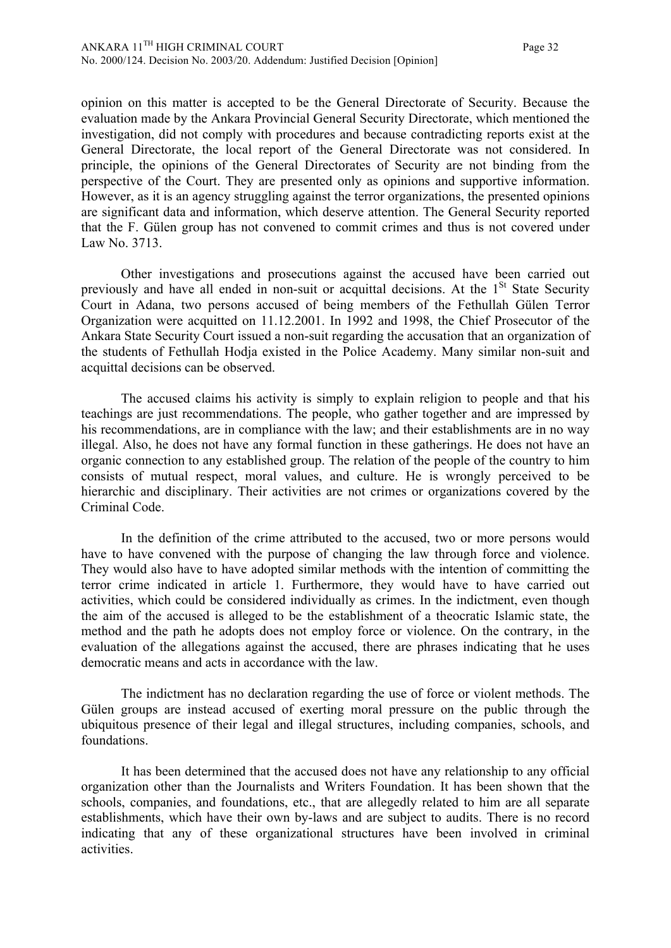opinion on this matter is accepted to be the General Directorate of Security. Because the evaluation made by the Ankara Provincial General Security Directorate, which mentioned the investigation, did not comply with procedures and because contradicting reports exist at the General Directorate, the local report of the General Directorate was not considered. In principle, the opinions of the General Directorates of Security are not binding from the perspective of the Court. They are presented only as opinions and supportive information. However, as it is an agency struggling against the terror organizations, the presented opinions are significant data and information, which deserve attention. The General Security reported that the F. Gülen group has not convened to commit crimes and thus is not covered under Law No. 3713.

Other investigations and prosecutions against the accused have been carried out previously and have all ended in non-suit or acquittal decisions. At the  $1<sup>St</sup>$  State Security Court in Adana, two persons accused of being members of the Fethullah Gülen Terror Organization were acquitted on 11.12.2001. In 1992 and 1998, the Chief Prosecutor of the Ankara State Security Court issued a non-suit regarding the accusation that an organization of the students of Fethullah Hodja existed in the Police Academy. Many similar non-suit and acquittal decisions can be observed.

The accused claims his activity is simply to explain religion to people and that his teachings are just recommendations. The people, who gather together and are impressed by his recommendations, are in compliance with the law; and their establishments are in no way illegal. Also, he does not have any formal function in these gatherings. He does not have an organic connection to any established group. The relation of the people of the country to him consists of mutual respect, moral values, and culture. He is wrongly perceived to be hierarchic and disciplinary. Their activities are not crimes or organizations covered by the Criminal Code.

In the definition of the crime attributed to the accused, two or more persons would have to have convened with the purpose of changing the law through force and violence. They would also have to have adopted similar methods with the intention of committing the terror crime indicated in article 1. Furthermore, they would have to have carried out activities, which could be considered individually as crimes. In the indictment, even though the aim of the accused is alleged to be the establishment of a theocratic Islamic state, the method and the path he adopts does not employ force or violence. On the contrary, in the evaluation of the allegations against the accused, there are phrases indicating that he uses democratic means and acts in accordance with the law.

The indictment has no declaration regarding the use of force or violent methods. The Gülen groups are instead accused of exerting moral pressure on the public through the ubiquitous presence of their legal and illegal structures, including companies, schools, and foundations.

It has been determined that the accused does not have any relationship to any official organization other than the Journalists and Writers Foundation. It has been shown that the schools, companies, and foundations, etc., that are allegedly related to him are all separate establishments, which have their own by-laws and are subject to audits. There is no record indicating that any of these organizational structures have been involved in criminal activities.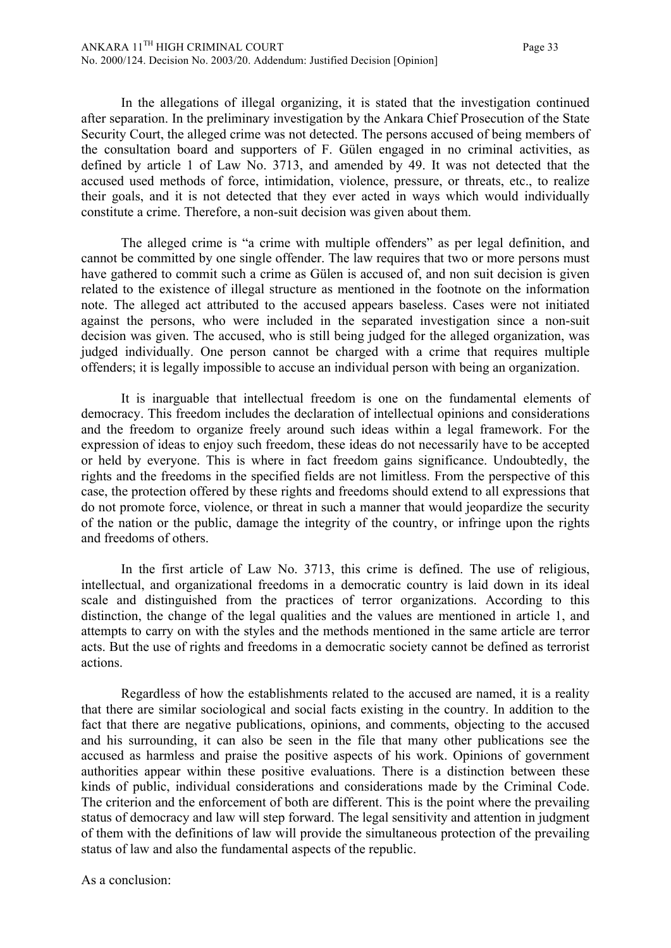In the allegations of illegal organizing, it is stated that the investigation continued after separation. In the preliminary investigation by the Ankara Chief Prosecution of the State Security Court, the alleged crime was not detected. The persons accused of being members of the consultation board and supporters of F. Gülen engaged in no criminal activities, as defined by article 1 of Law No. 3713, and amended by 49. It was not detected that the accused used methods of force, intimidation, violence, pressure, or threats, etc., to realize their goals, and it is not detected that they ever acted in ways which would individually constitute a crime. Therefore, a non-suit decision was given about them.

The alleged crime is "a crime with multiple offenders" as per legal definition, and cannot be committed by one single offender. The law requires that two or more persons must have gathered to commit such a crime as Gülen is accused of, and non suit decision is given related to the existence of illegal structure as mentioned in the footnote on the information note. The alleged act attributed to the accused appears baseless. Cases were not initiated against the persons, who were included in the separated investigation since a non-suit decision was given. The accused, who is still being judged for the alleged organization, was judged individually. One person cannot be charged with a crime that requires multiple offenders; it is legally impossible to accuse an individual person with being an organization.

It is inarguable that intellectual freedom is one on the fundamental elements of democracy. This freedom includes the declaration of intellectual opinions and considerations and the freedom to organize freely around such ideas within a legal framework. For the expression of ideas to enjoy such freedom, these ideas do not necessarily have to be accepted or held by everyone. This is where in fact freedom gains significance. Undoubtedly, the rights and the freedoms in the specified fields are not limitless. From the perspective of this case, the protection offered by these rights and freedoms should extend to all expressions that do not promote force, violence, or threat in such a manner that would jeopardize the security of the nation or the public, damage the integrity of the country, or infringe upon the rights and freedoms of others.

In the first article of Law No. 3713, this crime is defined. The use of religious, intellectual, and organizational freedoms in a democratic country is laid down in its ideal scale and distinguished from the practices of terror organizations. According to this distinction, the change of the legal qualities and the values are mentioned in article 1, and attempts to carry on with the styles and the methods mentioned in the same article are terror acts. But the use of rights and freedoms in a democratic society cannot be defined as terrorist actions.

Regardless of how the establishments related to the accused are named, it is a reality that there are similar sociological and social facts existing in the country. In addition to the fact that there are negative publications, opinions, and comments, objecting to the accused and his surrounding, it can also be seen in the file that many other publications see the accused as harmless and praise the positive aspects of his work. Opinions of government authorities appear within these positive evaluations. There is a distinction between these kinds of public, individual considerations and considerations made by the Criminal Code. The criterion and the enforcement of both are different. This is the point where the prevailing status of democracy and law will step forward. The legal sensitivity and attention in judgment of them with the definitions of law will provide the simultaneous protection of the prevailing status of law and also the fundamental aspects of the republic.

As a conclusion: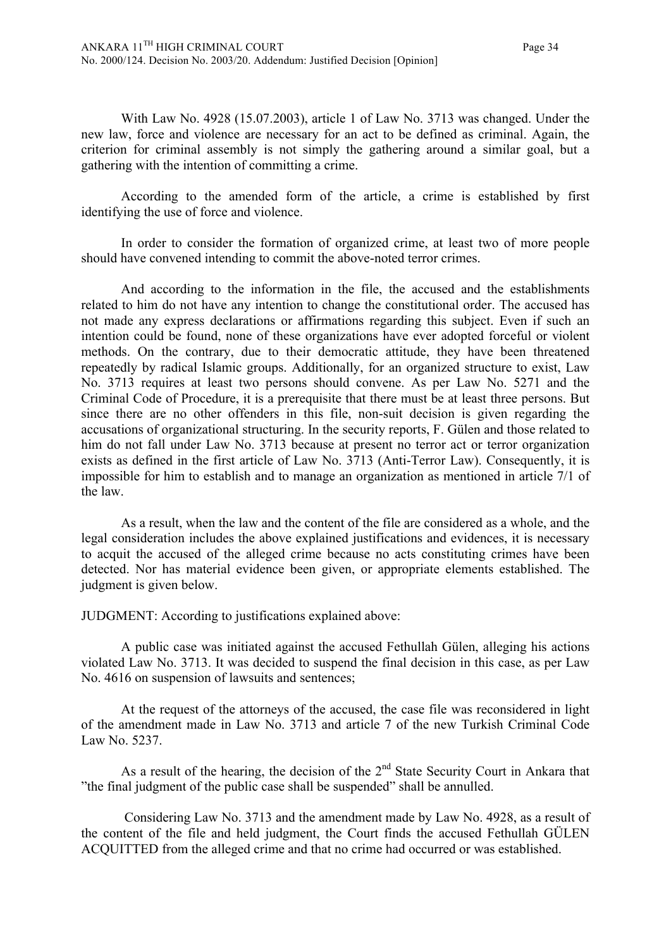With Law No. 4928 (15.07.2003), article 1 of Law No. 3713 was changed. Under the new law, force and violence are necessary for an act to be defined as criminal. Again, the criterion for criminal assembly is not simply the gathering around a similar goal, but a gathering with the intention of committing a crime.

According to the amended form of the article, a crime is established by first identifying the use of force and violence.

In order to consider the formation of organized crime, at least two of more people should have convened intending to commit the above-noted terror crimes.

And according to the information in the file, the accused and the establishments related to him do not have any intention to change the constitutional order. The accused has not made any express declarations or affirmations regarding this subject. Even if such an intention could be found, none of these organizations have ever adopted forceful or violent methods. On the contrary, due to their democratic attitude, they have been threatened repeatedly by radical Islamic groups. Additionally, for an organized structure to exist, Law No. 3713 requires at least two persons should convene. As per Law No. 5271 and the Criminal Code of Procedure, it is a prerequisite that there must be at least three persons. But since there are no other offenders in this file, non-suit decision is given regarding the accusations of organizational structuring. In the security reports, F. Gülen and those related to him do not fall under Law No. 3713 because at present no terror act or terror organization exists as defined in the first article of Law No. 3713 (Anti-Terror Law). Consequently, it is impossible for him to establish and to manage an organization as mentioned in article 7/1 of the law.

As a result, when the law and the content of the file are considered as a whole, and the legal consideration includes the above explained justifications and evidences, it is necessary to acquit the accused of the alleged crime because no acts constituting crimes have been detected. Nor has material evidence been given, or appropriate elements established. The judgment is given below.

JUDGMENT: According to justifications explained above:

A public case was initiated against the accused Fethullah Gülen, alleging his actions violated Law No. 3713. It was decided to suspend the final decision in this case, as per Law No. 4616 on suspension of lawsuits and sentences;

At the request of the attorneys of the accused, the case file was reconsidered in light of the amendment made in Law No. 3713 and article 7 of the new Turkish Criminal Code Law No. 5237.

As a result of the hearing, the decision of the  $2<sup>nd</sup>$  State Security Court in Ankara that "the final judgment of the public case shall be suspended" shall be annulled.

 Considering Law No. 3713 and the amendment made by Law No. 4928, as a result of the content of the file and held judgment, the Court finds the accused Fethullah GÜLEN ACQUITTED from the alleged crime and that no crime had occurred or was established.